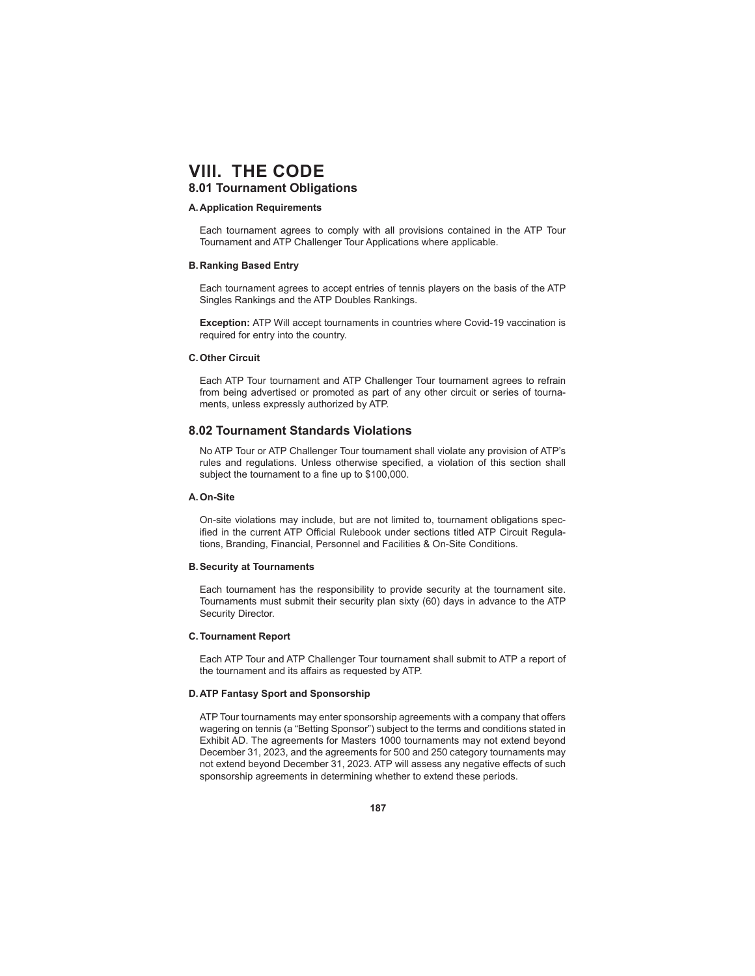## **8.01 Tournament Obligations**

#### **A. Application Requirements**

 Each tournament agrees to comply with all provisions contained in the ATP Tour Tournament and ATP Challenger Tour Applications where applicable.

#### **B. Ranking Based Entry**

 Each tournament agrees to accept entries of tennis players on the basis of the ATP Singles Rankings and the ATP Doubles Rankings.

**Exception:** ATP Will accept tournaments in countries where Covid-19 vaccination is required for entry into the country.

### **C. Other Circuit**

 Each ATP Tour tournament and ATP Challenger Tour tournament agrees to refrain from being advertised or promoted as part of any other circuit or series of tournaments, unless expressly authorized by ATP.

## **8.02 Tournament Standards Violations**

 No ATP Tour or ATP Challenger Tour tournament shall violate any provision of ATP's rules and regulations. Unless otherwise specified, a violation of this section shall subject the tournament to a fine up to \$100,000.

### **A. On-Site**

 On-site violations may include, but are not limited to, tournament obligations specified in the current ATP Official Rulebook under sections titled ATP Circuit Regulations, Branding, Financial, Personnel and Facilities & On-Site Conditions.

#### **B. Security at Tournaments**

 Each tournament has the responsibility to provide security at the tournament site. Tournaments must submit their security plan sixty (60) days in advance to the ATP Security Director.

### **C. Tournament Report**

 Each ATP Tour and ATP Challenger Tour tournament shall submit to ATP a report of the tournament and its affairs as requested by ATP.

#### **D. ATP Fantasy Sport and Sponsorship**

ATP Tour tournaments may enter sponsorship agreements with a company that offers wagering on tennis (a "Betting Sponsor") subject to the terms and conditions stated in Exhibit AD. The agreements for Masters 1000 tournaments may not extend beyond December 31, 2023, and the agreements for 500 and 250 category tournaments may not extend beyond December 31, 2023. ATP will assess any negative effects of such sponsorship agreements in determining whether to extend these periods.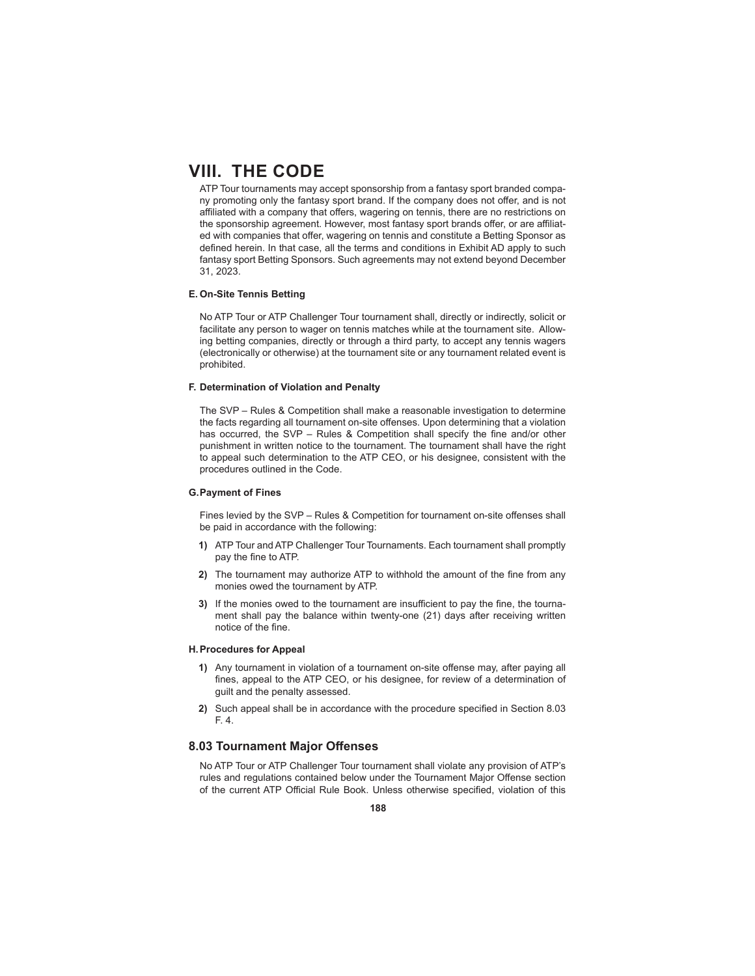ATP Tour tournaments may accept sponsorship from a fantasy sport branded company promoting only the fantasy sport brand. If the company does not offer, and is not affiliated with a company that offers, wagering on tennis, there are no restrictions on the sponsorship agreement. However, most fantasy sport brands offer, or are affiliated with companies that offer, wagering on tennis and constitute a Betting Sponsor as defined herein. In that case, all the terms and conditions in Exhibit AD apply to such fantasy sport Betting Sponsors. Such agreements may not extend beyond December 31, 2023.

### **E. On-Site Tennis Betting**

 No ATP Tour or ATP Challenger Tour tournament shall, directly or indirectly, solicit or facilitate any person to wager on tennis matches while at the tournament site. Allowing betting companies, directly or through a third party, to accept any tennis wagers (electronically or otherwise) at the tournament site or any tournament related event is prohibited.

### **F. Determination of Violation and Penalty**

 The SVP – Rules & Competition shall make a reasonable investigation to determine the facts regarding all tournament on-site offenses. Upon determining that a violation has occurred, the SVP – Rules & Competition shall specify the fine and/or other punishment in written notice to the tournament. The tournament shall have the right to appeal such determination to the ATP CEO, or his designee, consistent with the procedures outlined in the Code.

#### **G. Payment of Fines**

 Fines levied by the SVP – Rules & Competition for tournament on-site offenses shall be paid in accordance with the following:

- **1)** ATP Tour and ATP Challenger Tour Tournaments. Each tournament shall promptly pay the fine to ATP.
- **2)** The tournament may authorize ATP to withhold the amount of the fine from any monies owed the tournament by ATP.
- **3)** If the monies owed to the tournament are insufficient to pay the fine, the tournament shall pay the balance within twenty-one (21) days after receiving written notice of the fine.

#### **H. Procedures for Appeal**

- **1)** Any tournament in violation of a tournament on-site offense may, after paying all fines, appeal to the ATP CEO, or his designee, for review of a determination of guilt and the penalty assessed.
- **2)** Such appeal shall be in accordance with the procedure specified in Section 8.03 F. 4.

## **8.03 Tournament Major Off enses**

 No ATP Tour or ATP Challenger Tour tournament shall violate any provision of ATP's rules and regulations contained below under the Tournament Major Offense section of the current ATP Official Rule Book. Unless otherwise specified, violation of this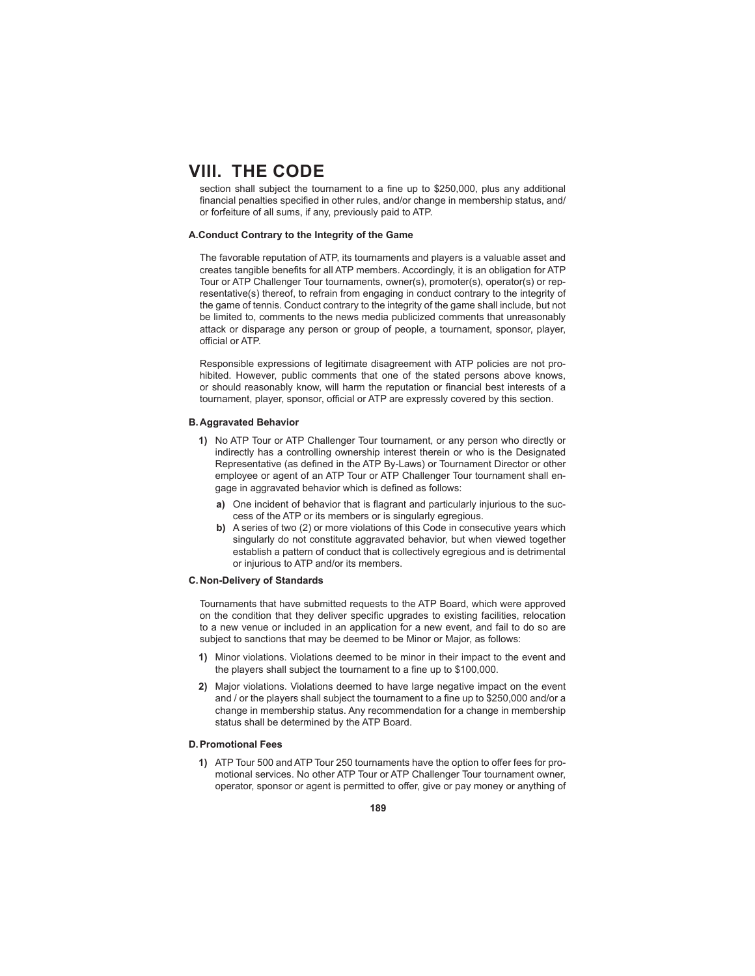section shall subject the tournament to a fine up to \$250,000, plus any additional financial penalties specified in other rules, and/or change in membership status, and/ or forfeiture of all sums, if any, previously paid to ATP.

#### **A.Conduct Contrary to the Integrity of the Game**

 The favorable reputation of ATP, its tournaments and players is a valuable asset and creates tangible benefits for all ATP members. Accordingly, it is an obligation for ATP Tour or ATP Challenger Tour tournaments, owner(s), promoter(s), operator(s) or representative(s) thereof, to refrain from engaging in conduct contrary to the integrity of the game of tennis. Conduct contrary to the integrity of the game shall include, but not be limited to, comments to the news media publicized comments that unreasonably attack or disparage any person or group of people, a tournament, sponsor, player, official or ATP.

 Responsible expressions of legitimate disagreement with ATP policies are not prohibited. However, public comments that one of the stated persons above knows, or should reasonably know, will harm the reputation or financial best interests of a tournament, player, sponsor, official or ATP are expressly covered by this section.

#### **B. Aggravated Behavior**

- **1)** No ATP Tour or ATP Challenger Tour tournament, or any person who directly or indirectly has a controlling ownership interest therein or who is the Designated Representative (as defined in the ATP By-Laws) or Tournament Director or other employee or agent of an ATP Tour or ATP Challenger Tour tournament shall engage in aggravated behavior which is defined as follows:
	- **a)** One incident of behavior that is flagrant and particularly injurious to the success of the ATP or its members or is singularly egregious.
	- **b)** A series of two (2) or more violations of this Code in consecutive years which singularly do not constitute aggravated behavior, but when viewed together establish a pattern of conduct that is collectively egregious and is detrimental or injurious to ATP and/or its members.

#### **C. Non-Delivery of Standards**

 Tournaments that have submitted requests to the ATP Board, which were approved on the condition that they deliver specific upgrades to existing facilities, relocation to a new venue or included in an application for a new event, and fail to do so are subject to sanctions that may be deemed to be Minor or Major, as follows:

- **1)** Minor violations. Violations deemed to be minor in their impact to the event and the players shall subject the tournament to a fine up to \$100,000.
- **2)** Major violations. Violations deemed to have large negative impact on the event and / or the players shall subject the tournament to a fine up to \$250,000 and/or a change in membership status. Any recommendation for a change in membership status shall be determined by the ATP Board.

#### **D. Promotional Fees**

**1)** ATP Tour 500 and ATP Tour 250 tournaments have the option to offer fees for promotional services. No other ATP Tour or ATP Challenger Tour tournament owner, operator, sponsor or agent is permitted to offer, give or pay money or anything of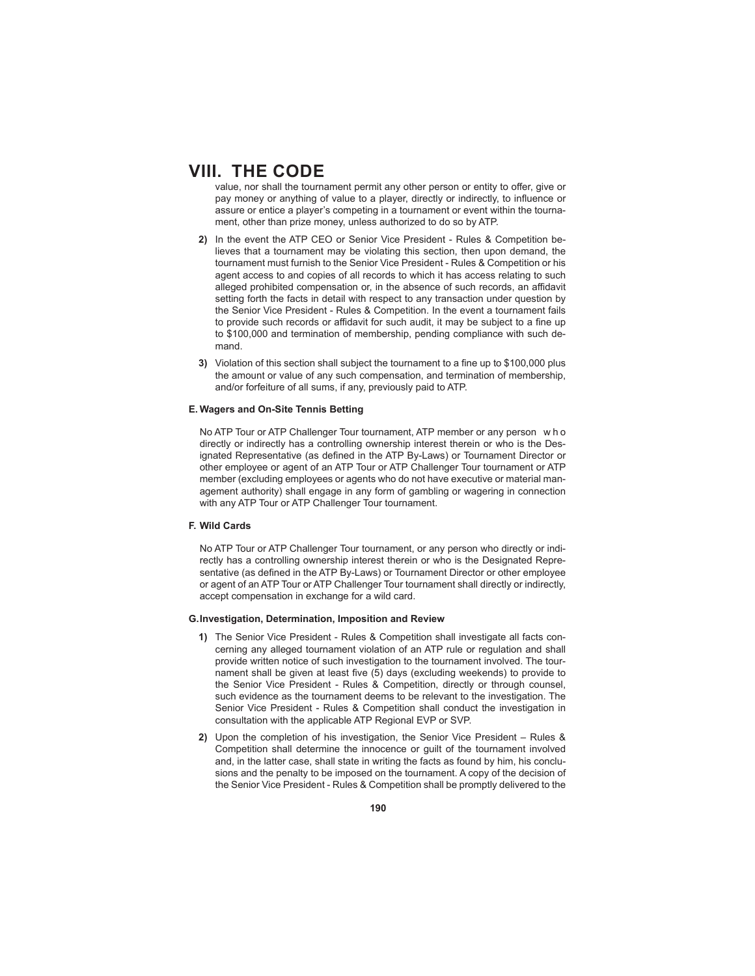value, nor shall the tournament permit any other person or entity to offer, give or pay money or anything of value to a player, directly or indirectly, to influence or assure or entice a player's competing in a tournament or event within the tournament, other than prize money, unless authorized to do so by ATP.

- **2)** In the event the ATP CEO or Senior Vice President Rules & Competition believes that a tournament may be violating this section, then upon demand, the tournament must furnish to the Senior Vice President - Rules & Competition or his agent access to and copies of all records to which it has access relating to such alleged prohibited compensation or, in the absence of such records, an affidavit setting forth the facts in detail with respect to any transaction under question by the Senior Vice President - Rules & Competition. In the event a tournament fails to provide such records or affidavit for such audit, it may be subject to a fine up to \$100,000 and termination of membership, pending compliance with such demand.
- **3)** Violation of this section shall subject the tournament to a fine up to \$100,000 plus the amount or value of any such compensation, and termination of membership, and/or forfeiture of all sums, if any, previously paid to ATP.

### **E. Wagers and On-Site Tennis Betting**

 No ATP Tour or ATP Challenger Tour tournament, ATP member or any person w h o directly or indirectly has a controlling ownership interest therein or who is the Designated Representative (as defined in the ATP By-Laws) or Tournament Director or other employee or agent of an ATP Tour or ATP Challenger Tour tournament or ATP member (excluding employees or agents who do not have executive or material management authority) shall engage in any form of gambling or wagering in connection with any ATP Tour or ATP Challenger Tour tournament.

### **F. Wild Cards**

 No ATP Tour or ATP Challenger Tour tournament, or any person who directly or indirectly has a controlling ownership interest therein or who is the Designated Representative (as defined in the ATP By-Laws) or Tournament Director or other employee or agent of an ATP Tour or ATP Challenger Tour tournament shall directly or indirectly, accept compensation in exchange for a wild card.

#### **G. Investigation, Determination, Imposition and Review**

- **1)** The Senior Vice President Rules & Competition shall investigate all facts concerning any alleged tournament violation of an ATP rule or regulation and shall provide written notice of such investigation to the tournament involved. The tournament shall be given at least five (5) days (excluding weekends) to provide to the Senior Vice President - Rules & Competition, directly or through counsel, such evidence as the tournament deems to be relevant to the investigation. The Senior Vice President - Rules & Competition shall conduct the investigation in consultation with the applicable ATP Regional EVP or SVP.
- **2)** Upon the completion of his investigation, the Senior Vice President Rules & Competition shall determine the innocence or guilt of the tournament involved and, in the latter case, shall state in writing the facts as found by him, his conclusions and the penalty to be imposed on the tournament. A copy of the decision of the Senior Vice President - Rules & Competition shall be promptly delivered to the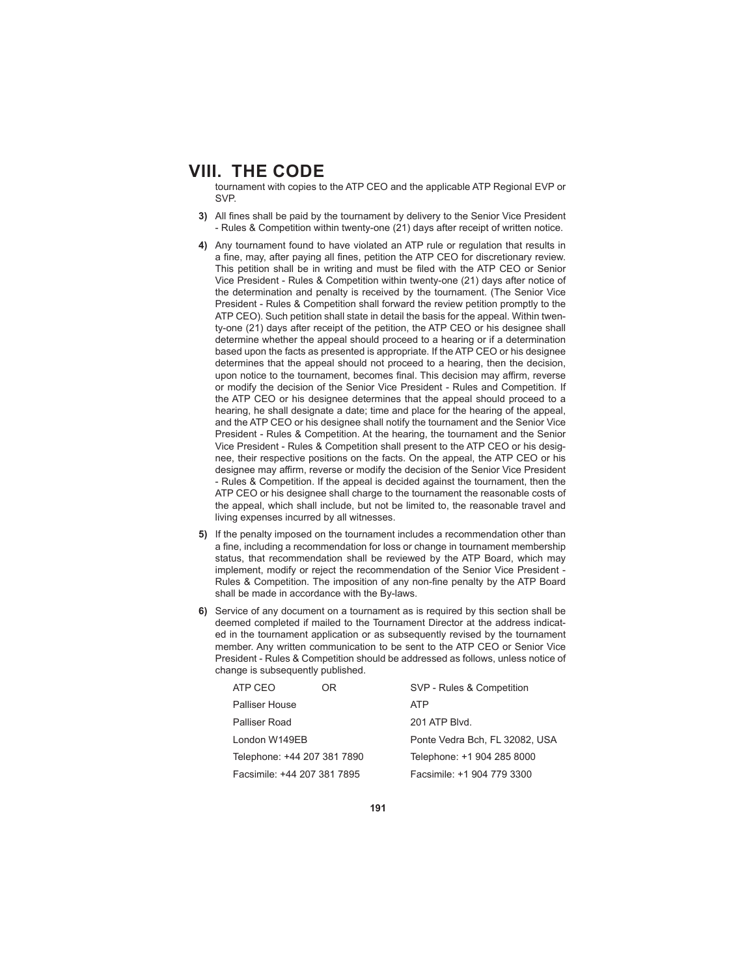tournament with copies to the ATP CEO and the applicable ATP Regional EVP or SVP.

- **3)** All fines shall be paid by the tournament by delivery to the Senior Vice President - Rules & Competition within twenty-one (21) days after receipt of written notice.
- **4)** Any tournament found to have violated an ATP rule or regulation that results in a fine, may, after paying all fines, petition the ATP CEO for discretionary review. This petition shall be in writing and must be filed with the ATP CEO or Senior Vice President - Rules & Competition within twenty-one (21) days after notice of the determination and penalty is received by the tournament. (The Senior Vice President - Rules & Competition shall forward the review petition promptly to the ATP CEO). Such petition shall state in detail the basis for the appeal. Within twenty-one (21) days after receipt of the petition, the ATP CEO or his designee shall determine whether the appeal should proceed to a hearing or if a determination based upon the facts as presented is appropriate. If the ATP CEO or his designee determines that the appeal should not proceed to a hearing, then the decision, upon notice to the tournament, becomes final. This decision may affirm, reverse or modify the decision of the Senior Vice President - Rules and Competition. If the ATP CEO or his designee determines that the appeal should proceed to a hearing, he shall designate a date; time and place for the hearing of the appeal. and the ATP CEO or his designee shall notify the tournament and the Senior Vice President - Rules & Competition. At the hearing, the tournament and the Senior Vice President - Rules & Competition shall present to the ATP CEO or his designee, their respective positions on the facts. On the appeal, the ATP CEO or his designee may affirm, reverse or modify the decision of the Senior Vice President - Rules & Competition. If the appeal is decided against the tournament, then the ATP CEO or his designee shall charge to the tournament the reasonable costs of the appeal, which shall include, but not be limited to, the reasonable travel and living expenses incurred by all witnesses.
- **5)** If the penalty imposed on the tournament includes a recommendation other than a fine, including a recommendation for loss or change in tournament membership status, that recommendation shall be reviewed by the ATP Board, which may implement, modify or reject the recommendation of the Senior Vice President - Rules & Competition. The imposition of any non-fine penalty by the ATP Board shall be made in accordance with the By-laws.
- **6)** Service of any document on a tournament as is required by this section shall be deemed completed if mailed to the Tournament Director at the address indicated in the tournament application or as subsequently revised by the tournament member. Any written communication to be sent to the ATP CEO or Senior Vice President - Rules & Competition should be addressed as follows, unless notice of change is subsequently published.

| ATP CEO                     | OR. | SVP - Rules & Competition      |
|-----------------------------|-----|--------------------------------|
| Palliser House              |     | <b>ATP</b>                     |
| Palliser Road               |     | 201 ATP Blvd.                  |
| London W149EB               |     | Ponte Vedra Bch, FL 32082, USA |
| Telephone: +44 207 381 7890 |     | Telephone: +1 904 285 8000     |
| Facsimile: +44 207 381 7895 |     | Facsimile: +1 904 779 3300     |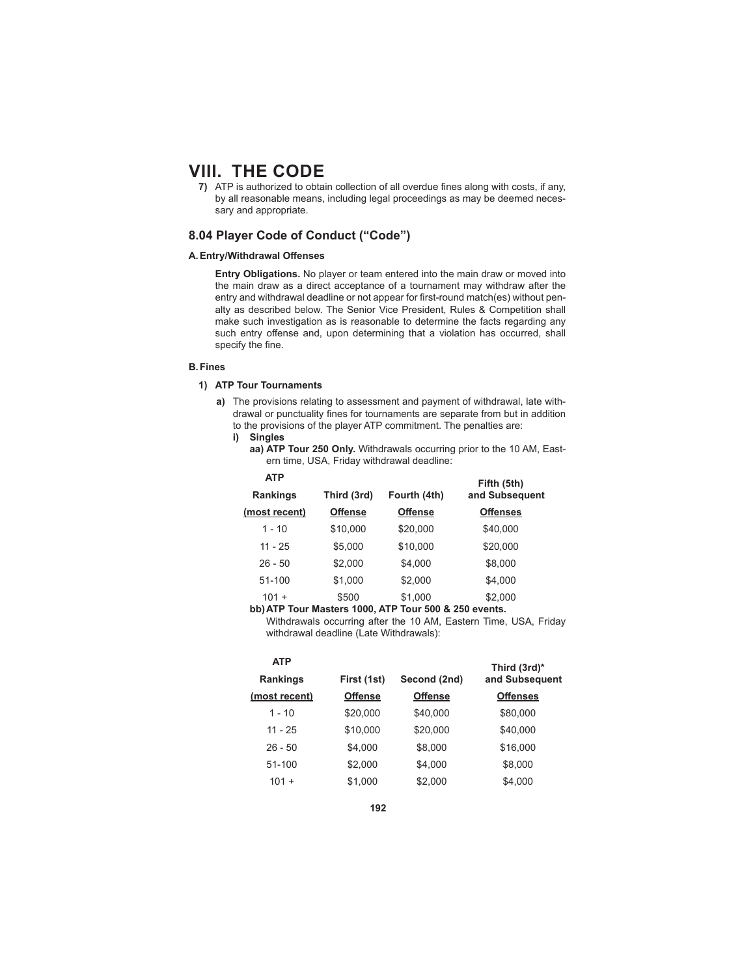**7)** ATP is authorized to obtain collection of all overdue fines along with costs, if any, by all reasonable means, including legal proceedings as may be deemed necessary and appropriate.

## **8.04 Player Code of Conduct ("Code")**

## **A. Entry/Withdrawal Off enses**

**Entry Obligations.** No player or team entered into the main draw or moved into the main draw as a direct acceptance of a tournament may withdraw after the entry and withdrawal deadline or not appear for first-round match(es) without penalty as described below. The Senior Vice President, Rules & Competition shall make such investigation as is reasonable to determine the facts regarding any such entry offense and, upon determining that a violation has occurred, shall specify the fine.

### **B. Fines**

## **1) ATP Tour Tournaments**

**a)** The provisions relating to assessment and payment of withdrawal, late withdrawal or punctuality fines for tournaments are separate from but in addition to the provisions of the player ATP commitment. The penalties are:

 $\lambda = \infty$ 

**aa) ATP Tour 250 Only.** Withdrawals occurring prior to the 10 AM, Eastern time, USA, Friday withdrawal deadline:

| AIP           |                |                | Fifth (5th)     |
|---------------|----------------|----------------|-----------------|
| Rankings      | Third (3rd)    | Fourth (4th)   | and Subsequent  |
| (most recent) | <b>Offense</b> | <b>Offense</b> | <b>Offenses</b> |
| $1 - 10$      | \$10,000       | \$20,000       | \$40,000        |
| $11 - 25$     | \$5,000        | \$10,000       | \$20,000        |
| $26 - 50$     | \$2,000        | \$4,000        | \$8,000         |
| 51-100        | \$1,000        | \$2,000        | \$4,000         |
| $101 +$       | \$500          | \$1,000        | \$2,000         |

#### **bb) ATP Tour Masters 1000, ATP Tour 500 & 250 events.**

 Withdrawals occurring after the 10 AM, Eastern Time, USA, Friday withdrawal deadline (Late Withdrawals):

| <b>ATP</b>    |                |                | Third (3rd)*    |
|---------------|----------------|----------------|-----------------|
| Rankings      | First (1st)    | Second (2nd)   | and Subsequent  |
| (most recent) | <b>Offense</b> | <b>Offense</b> | <b>Offenses</b> |
| $1 - 10$      | \$20,000       | \$40,000       | \$80,000        |
| $11 - 25$     | \$10.000       | \$20,000       | \$40,000        |
| $26 - 50$     | \$4,000        | \$8,000        | \$16,000        |
| 51-100        | \$2.000        | \$4,000        | \$8,000         |
| $101 +$       | \$1,000        | \$2.000        | \$4,000         |

**i) Singles**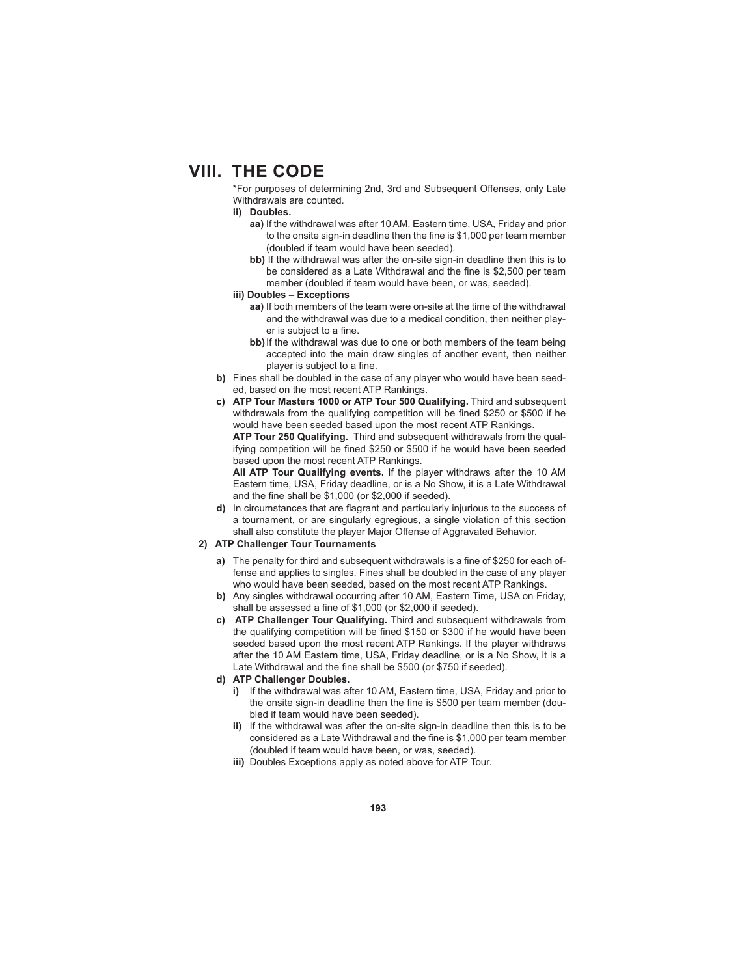\*For purposes of determining 2nd, 3rd and Subsequent Offenses, only Late Withdrawals are counted.

### **ii) Doubles.**

- **aa)** If the withdrawal was after 10 AM, Eastern time, USA, Friday and prior to the onsite sign-in deadline then the fine is \$1,000 per team member (doubled if team would have been seeded).
- **bb)** If the withdrawal was after the on-site sign-in deadline then this is to be considered as a Late Withdrawal and the fine is \$2,500 per team member (doubled if team would have been, or was, seeded).
- **iii) Doubles Exceptions**
	- **aa)** If both members of the team were on-site at the time of the withdrawal and the withdrawal was due to a medical condition, then neither player is subject to a fine.
	- **bb)** If the withdrawal was due to one or both members of the team being accepted into the main draw singles of another event, then neither player is subject to a fine.
- **b)** Fines shall be doubled in the case of any player who would have been seeded, based on the most recent ATP Rankings.
- **c) ATP Tour Masters 1000 or ATP Tour 500 Qualifying.** Third and subsequent withdrawals from the qualifying competition will be fined \$250 or \$500 if he would have been seeded based upon the most recent ATP Rankings.

**ATP Tour 250 Qualifying.** Third and subsequent withdrawals from the qualifying competition will be fined \$250 or \$500 if he would have been seeded based upon the most recent ATP Rankings.

**All ATP Tour Qualifying events.** If the player withdraws after the 10 AM Eastern time, USA, Friday deadline, or is a No Show, it is a Late Withdrawal and the fine shall be  $$1,000$  (or  $$2,000$  if seeded).

**d)** In circumstances that are flagrant and particularly injurious to the success of a tournament, or are singularly egregious, a single violation of this section shall also constitute the player Major Offense of Aggravated Behavior.

## **2) ATP Challenger Tour Tournaments**

- **a)** The penalty for third and subsequent withdrawals is a fine of \$250 for each offense and applies to singles. Fines shall be doubled in the case of any player who would have been seeded, based on the most recent ATP Rankings.
- **b)** Any singles withdrawal occurring after 10 AM, Eastern Time, USA on Friday, shall be assessed a fine of  $$1,000$  (or  $$2,000$  if seeded).
- **c) ATP Challenger Tour Qualifying.** Third and subsequent withdrawals from the qualifying competition will be fined \$150 or \$300 if he would have been seeded based upon the most recent ATP Rankings. If the player withdraws after the 10 AM Eastern time, USA, Friday deadline, or is a No Show, it is a Late Withdrawal and the fine shall be \$500 (or \$750 if seeded).
- **d) ATP Challenger Doubles.**
	- **i)** If the withdrawal was after 10 AM, Eastern time, USA, Friday and prior to the onsite sign-in deadline then the fine is \$500 per team member (doubled if team would have been seeded).
	- **ii)** If the withdrawal was after the on-site sign-in deadline then this is to be considered as a Late Withdrawal and the fine is \$1,000 per team member (doubled if team would have been, or was, seeded).
	- **iii)** Doubles Exceptions apply as noted above for ATP Tour.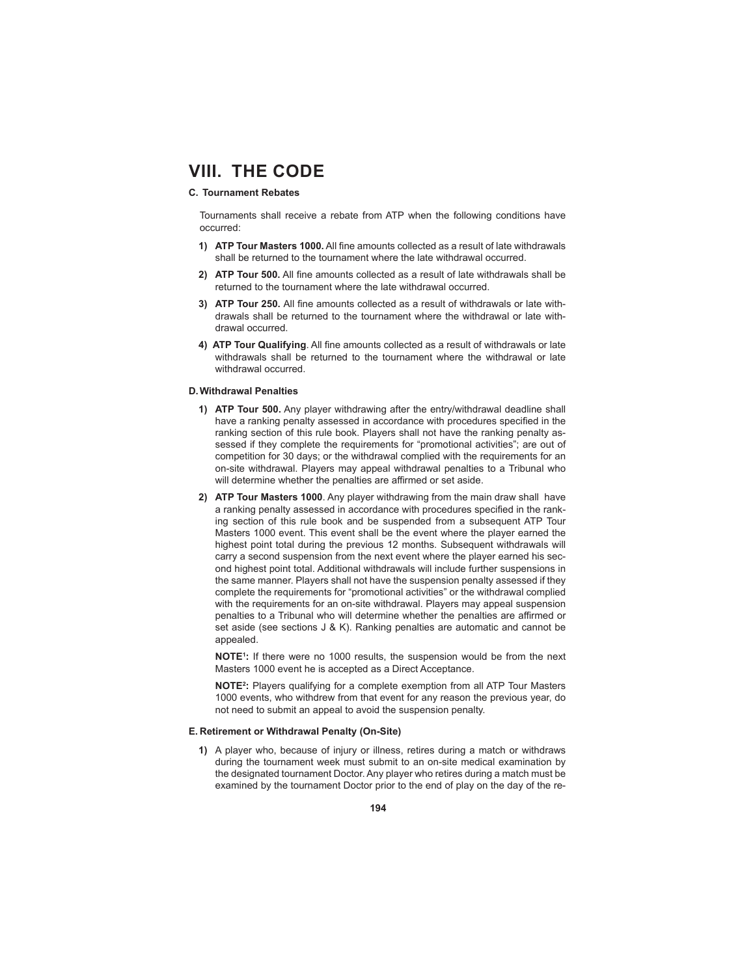## **C. Tournament Rebates**

 Tournaments shall receive a rebate from ATP when the following conditions have occurred:

- **1) ATP Tour Masters 1000.** All fine amounts collected as a result of late withdrawals shall be returned to the tournament where the late withdrawal occurred.
- 2) **ATP Tour 500.** All fine amounts collected as a result of late withdrawals shall be returned to the tournament where the late withdrawal occurred.
- **3) ATP Tour 250.** All fine amounts collected as a result of withdrawals or late withdrawals shall be returned to the tournament where the withdrawal or late withdrawal occurred.
- 4) **ATP Tour Qualifying**. All fine amounts collected as a result of withdrawals or late withdrawals shall be returned to the tournament where the withdrawal or late withdrawal occurred.

#### **D. Withdrawal Penalties**

- **1) ATP Tour 500.** Any player withdrawing after the entry/withdrawal deadline shall have a ranking penalty assessed in accordance with procedures specified in the ranking section of this rule book. Players shall not have the ranking penalty assessed if they complete the requirements for "promotional activities"; are out of competition for 30 days; or the withdrawal complied with the requirements for an on-site withdrawal. Players may appeal withdrawal penalties to a Tribunal who will determine whether the penalties are affirmed or set aside.
- **2) ATP Tour Masters 1000**. Any player withdrawing from the main draw shall have a ranking penalty assessed in accordance with procedures specified in the ranking section of this rule book and be suspended from a subsequent ATP Tour Masters 1000 event. This event shall be the event where the player earned the highest point total during the previous 12 months. Subsequent withdrawals will carry a second suspension from the next event where the player earned his second highest point total. Additional withdrawals will include further suspensions in the same manner. Players shall not have the suspension penalty assessed if they complete the requirements for "promotional activities" or the withdrawal complied with the requirements for an on-site withdrawal. Players may appeal suspension penalties to a Tribunal who will determine whether the penalties are affirmed or set aside (see sections J & K). Ranking penalties are automatic and cannot be appealed.

**NOTE1 :** If there were no 1000 results, the suspension would be from the next Masters 1000 event he is accepted as a Direct Acceptance.

**NOTE**<sup>2</sup>: Players qualifying for a complete exemption from all ATP Tour Masters 1000 events, who withdrew from that event for any reason the previous year, do not need to submit an appeal to avoid the suspension penalty.

#### **E. Retirement or Withdrawal Penalty ( On-Site)**

**1)** A player who, because of injury or illness, retires during a match or withdraws during the tournament week must submit to an on-site medical examination by the designated tournament Doctor. Any player who retires during a match must be examined by the tournament Doctor prior to the end of play on the day of the re-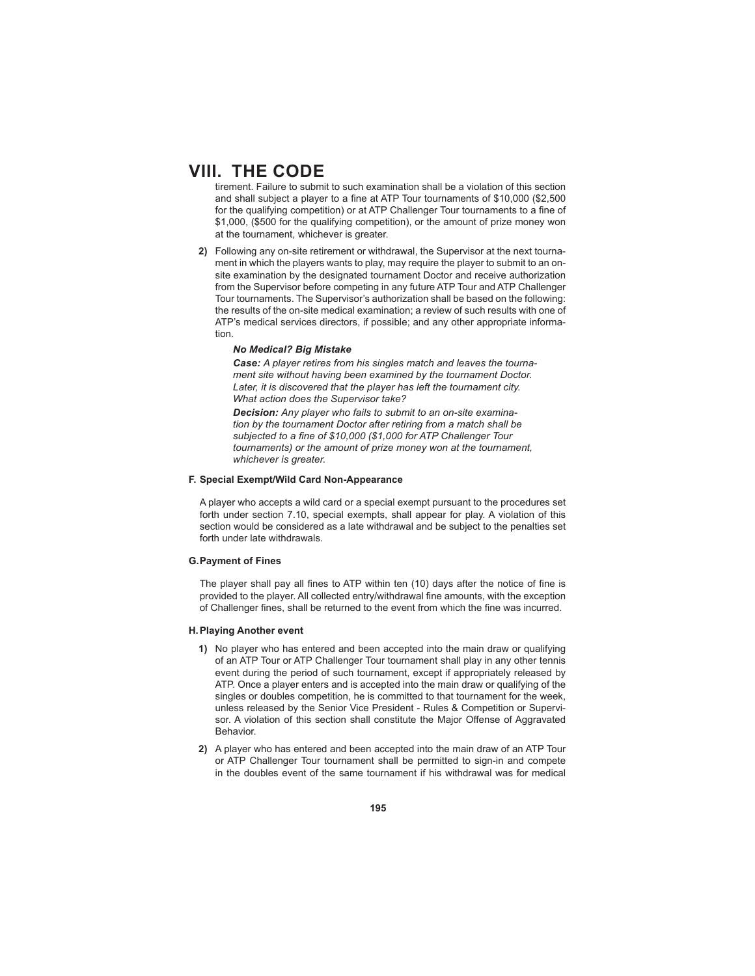tirement. Failure to submit to such examination shall be a violation of this section and shall subject a player to a fine at ATP Tour tournaments of \$10,000 (\$2,500 for the qualifying competition) or at ATP Challenger Tour tournaments to a fine of \$1,000, (\$500 for the qualifying competition), or the amount of prize money won at the tournament, whichever is greater.

**2)** Following any on-site retirement or withdrawal, the Supervisor at the next tournament in which the players wants to play, may require the player to submit to an onsite examination by the designated tournament Doctor and receive authorization from the Supervisor before competing in any future ATP Tour and ATP Challenger Tour tournaments. The Supervisor's authorization shall be based on the following: the results of the on-site medical examination; a review of such results with one of ATP's medical services directors, if possible; and any other appropriate information.

#### *No Medical? Big Mistake*

*Case: A player retires from his singles match and leaves the tournament site without having been examined by the tournament Doctor.*  Later, it is discovered that the player has left the tournament city. *What action does the Supervisor take?*

*Decision: Any player who fails to submit to an on-site examination by the tournament Doctor after retiring from a match shall be*  subjected to a fine of \$10,000 (\$1,000 for ATP Challenger Tour *tournaments) or the amount of prize money won at the tournament, whichever is greater.* 

### **F. Special Exempt/ Wild Card Non-Appearance**

 A player who accepts a wild card or a special exempt pursuant to the procedures set forth under section 7.10, special exempts, shall appear for play. A violation of this section would be considered as a late withdrawal and be subject to the penalties set forth under late withdrawals.

#### **G. Payment of Fines**

The player shall pay all fines to ATP within ten (10) days after the notice of fine is provided to the player. All collected entry/withdrawal fine amounts, with the exception of Challenger fines, shall be returned to the event from which the fine was incurred.

#### **H. Playing Another event**

- **1)** No player who has entered and been accepted into the main draw or qualifying of an ATP Tour or ATP Challenger Tour tournament shall play in any other tennis event during the period of such tournament, except if appropriately released by ATP. Once a player enters and is accepted into the main draw or qualifying of the singles or doubles competition, he is committed to that tournament for the week, unless released by the Senior Vice President - Rules & Competition or Supervisor. A violation of this section shall constitute the Major Offense of Aggravated Behavior.
- **2)** A player who has entered and been accepted into the main draw of an ATP Tour or ATP Challenger Tour tournament shall be permitted to sign-in and compete in the doubles event of the same tournament if his withdrawal was for medical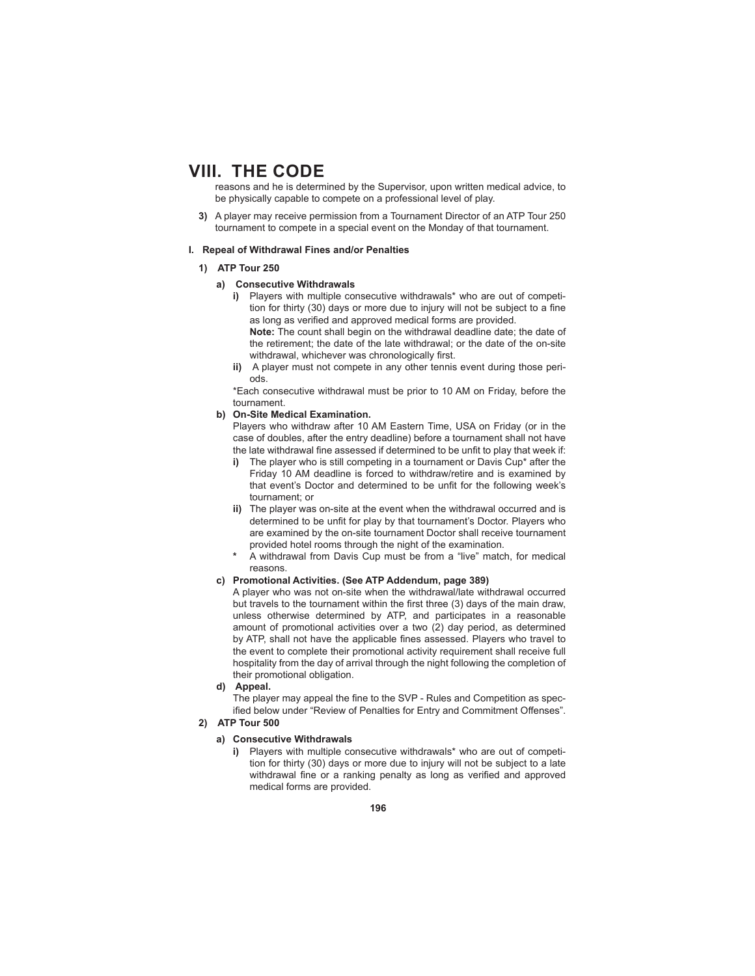reasons and he is determined by the Supervisor, upon written medical advice, to be physically capable to compete on a professional level of play.

**3)** A player may receive permission from a Tournament Director of an ATP Tour 250 tournament to compete in a special event on the Monday of that tournament.

#### **I. Repeal of Withdrawal Fines and/or Penalties**

#### **1) ATP Tour 250**

### **a) Consecutive Withdrawals**

**i)** Players with multiple consecutive withdrawals\* who are out of competition for thirty (30) days or more due to injury will not be subject to a fine as long as verified and approved medical forms are provided.

**Note:** The count shall begin on the withdrawal deadline date; the date of the retirement; the date of the late withdrawal; or the date of the on-site withdrawal, whichever was chronologically first.

**ii)** A player must not compete in any other tennis event during those periods.

 \*Each consecutive withdrawal must be prior to 10 AM on Friday, before the tournament.

### **b) On-Site Medical Examination.**

 Players who withdraw after 10 AM Eastern Time, USA on Friday (or in the case of doubles, after the entry deadline) before a tournament shall not have the late withdrawal fine assessed if determined to be unfit to play that week if:

- **i)** The player who is still competing in a tournament or Davis Cup\* after the Friday 10 AM deadline is forced to withdraw/retire and is examined by that event's Doctor and determined to be unfit for the following week's tournament; or
- **ii)** The player was on-site at the event when the withdrawal occurred and is determined to be unfit for play by that tournament's Doctor. Players who are examined by the on-site tournament Doctor shall receive tournament provided hotel rooms through the night of the examination.
- **\*** A withdrawal from Davis Cup must be from a "live" match, for medical reasons.

#### **c) Promotional Activities. (See ATP Addendum, page 389)**

 A player who was not on-site when the withdrawal/late withdrawal occurred but travels to the tournament within the first three (3) days of the main draw, unless otherwise determined by ATP, and participates in a reasonable amount of promotional activities over a two (2) day period, as determined by ATP, shall not have the applicable fines assessed. Players who travel to the event to complete their promotional activity requirement shall receive full hospitality from the day of arrival through the night following the completion of their promotional obligation.

**d) Appeal.**

The player may appeal the fine to the SVP - Rules and Competition as specified below under "Review of Penalties for Entry and Commitment Offenses".

#### **2) ATP Tour 500**

## **a) Consecutive Withdrawals**

**i)** Players with multiple consecutive withdrawals\* who are out of competition for thirty (30) days or more due to injury will not be subject to a late withdrawal fine or a ranking penalty as long as verified and approved medical forms are provided.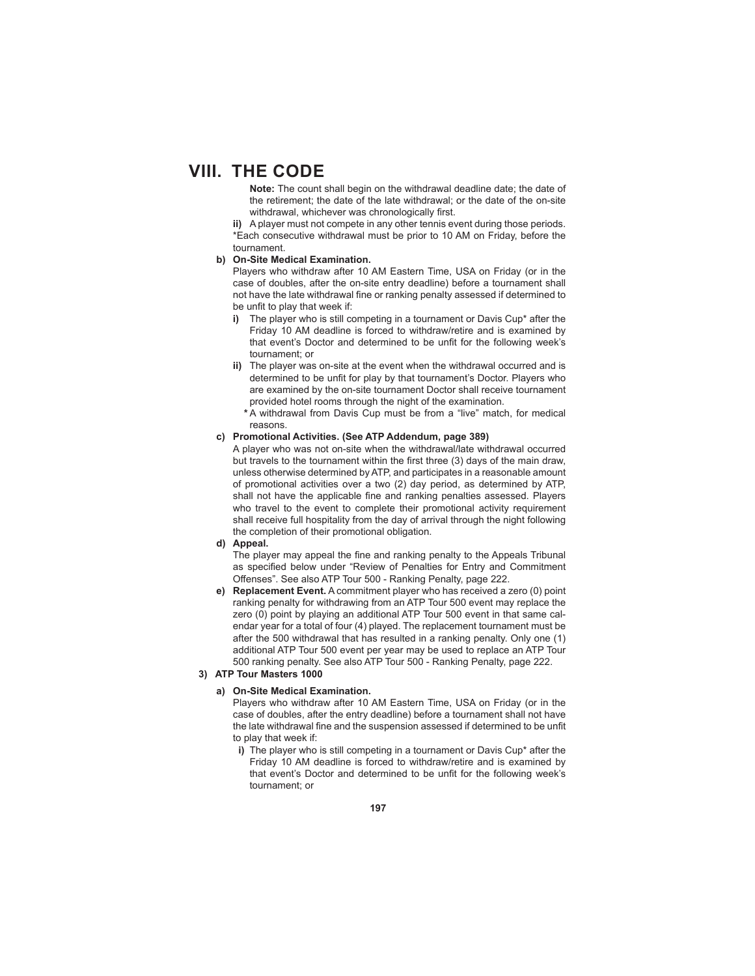**Note:** The count shall begin on the withdrawal deadline date; the date of the retirement; the date of the late withdrawal; or the date of the on-site withdrawal, whichever was chronologically first.

**ii)** A player must not compete in any other tennis event during those periods. \*Each consecutive withdrawal must be prior to 10 AM on Friday, before the tournament.

#### **b) On-Site Medical Examination.**

 Players who withdraw after 10 AM Eastern Time, USA on Friday (or in the case of doubles, after the on-site entry deadline) before a tournament shall not have the late withdrawal fine or ranking penalty assessed if determined to be unfit to play that week if:

- **i)** The player who is still competing in a tournament or Davis Cup\* after the Friday 10 AM deadline is forced to withdraw/retire and is examined by that event's Doctor and determined to be unfit for the following week's tournament; or
- **ii)** The player was on-site at the event when the withdrawal occurred and is determined to be unfit for play by that tournament's Doctor. Players who are examined by the on-site tournament Doctor shall receive tournament provided hotel rooms through the night of the examination.
	- **\*** A withdrawal from Davis Cup must be from a "live" match, for medical reasons.

## **c) Promotional Activities. (See ATP Addendum, page 389)**

 A player who was not on-site when the withdrawal/late withdrawal occurred but travels to the tournament within the first three (3) days of the main draw, unless otherwise determined by ATP, and participates in a reasonable amount of promotional activities over a two (2) day period, as determined by ATP, shall not have the applicable fine and ranking penalties assessed. Players who travel to the event to complete their promotional activity requirement shall receive full hospitality from the day of arrival through the night following the completion of their promotional obligation.

#### **d) Appeal.**

The player may appeal the fine and ranking penalty to the Appeals Tribunal as specified below under "Review of Penalties for Entry and Commitment Offenses". See also ATP Tour 500 - Ranking Penalty, page 222.

**e) Replacement Event.** A commitment player who has received a zero (0) point ranking penalty for withdrawing from an ATP Tour 500 event may replace the zero (0) point by playing an additional ATP Tour 500 event in that same calendar year for a total of four (4) played. The replacement tournament must be after the 500 withdrawal that has resulted in a ranking penalty. Only one (1) additional ATP Tour 500 event per year may be used to replace an ATP Tour 500 ranking penalty. See also ATP Tour 500 - Ranking Penalty, page 222.

## **3) ATP Tour Masters 1000**

### **a) On-Site Medical Examination.**

 Players who withdraw after 10 AM Eastern Time, USA on Friday (or in the case of doubles, after the entry deadline) before a tournament shall not have the late withdrawal fine and the suspension assessed if determined to be unfit to play that week if:

**i)** The player who is still competing in a tournament or Davis Cup<sup>\*</sup> after the Friday 10 AM deadline is forced to withdraw/retire and is examined by that event's Doctor and determined to be unfit for the following week's tournament; or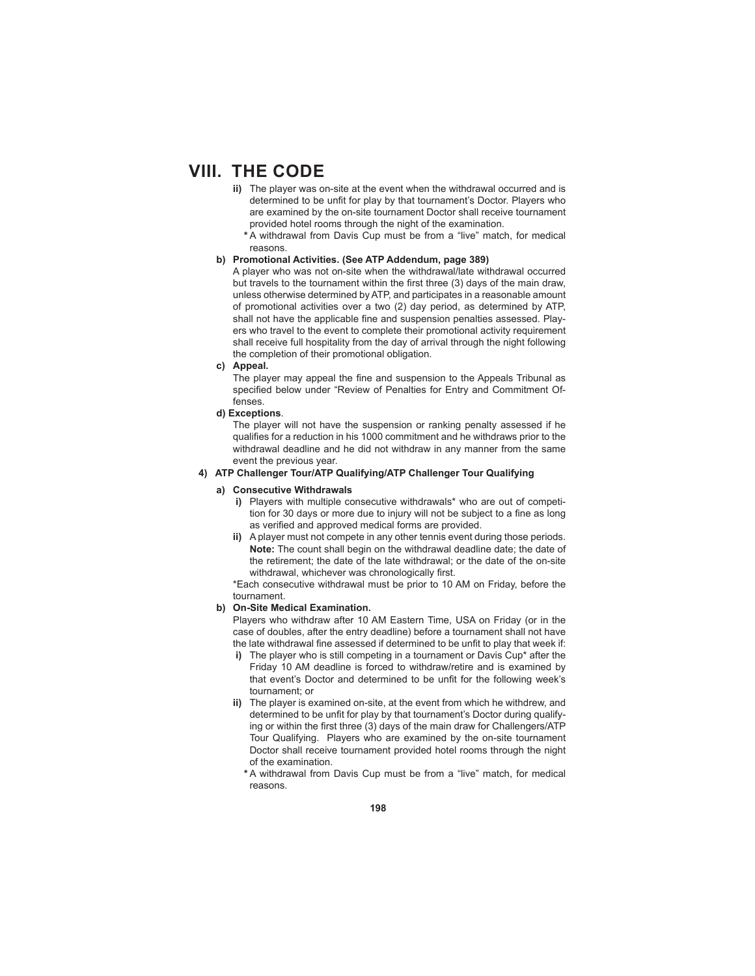- **ii)** The player was on-site at the event when the withdrawal occurred and is determined to be unfit for play by that tournament's Doctor. Players who are examined by the on-site tournament Doctor shall receive tournament provided hotel rooms through the night of the examination.
	- **\*** A withdrawal from Davis Cup must be from a "live" match, for medical reasons.

#### **b) Promotional Activities. (See ATP Addendum, page 389)**

 A player who was not on-site when the withdrawal/late withdrawal occurred but travels to the tournament within the first three (3) days of the main draw, unless otherwise determined by ATP, and participates in a reasonable amount of promotional activities over a two (2) day period, as determined by ATP, shall not have the applicable fine and suspension penalties assessed. Players who travel to the event to complete their promotional activity requirement shall receive full hospitality from the day of arrival through the night following the completion of their promotional obligation.

#### **c) Appeal.**

The player may appeal the fine and suspension to the Appeals Tribunal as specified below under "Review of Penalties for Entry and Commitment Offenses.

**d) Exceptions**.

 The player will not have the suspension or ranking penalty assessed if he qualifies for a reduction in his 1000 commitment and he withdraws prior to the withdrawal deadline and he did not withdraw in any manner from the same event the previous year.

### **4) ATP Challenger Tour/ATP Qualifying/ATP Challenger Tour Qualifying**

#### **a) Consecutive Withdrawals**

- **i)** Players with multiple consecutive withdrawals\* who are out of competition for 30 days or more due to injury will not be subject to a fine as long as verified and approved medical forms are provided.
- **ii)** A player must not compete in any other tennis event during those periods. **Note:** The count shall begin on the withdrawal deadline date; the date of the retirement; the date of the late withdrawal; or the date of the on-site withdrawal, whichever was chronologically first.

 \*Each consecutive withdrawal must be prior to 10 AM on Friday, before the tournament.

## **b) On-Site Medical Examination.**

 Players who withdraw after 10 AM Eastern Time, USA on Friday (or in the case of doubles, after the entry deadline) before a tournament shall not have the late withdrawal fine assessed if determined to be unfit to play that week if:

- **i)** The player who is still competing in a tournament or Davis Cup\* after the Friday 10 AM deadline is forced to withdraw/retire and is examined by that event's Doctor and determined to be unfit for the following week's tournament; or
- **ii)** The player is examined on-site, at the event from which he withdrew, and determined to be unfit for play by that tournament's Doctor during qualifying or within the first three (3) days of the main draw for Challengers/ATP Tour Qualifying. Players who are examined by the on-site tournament Doctor shall receive tournament provided hotel rooms through the night of the examination.
	- **\*** A withdrawal from Davis Cup must be from a "live" match, for medical reasons.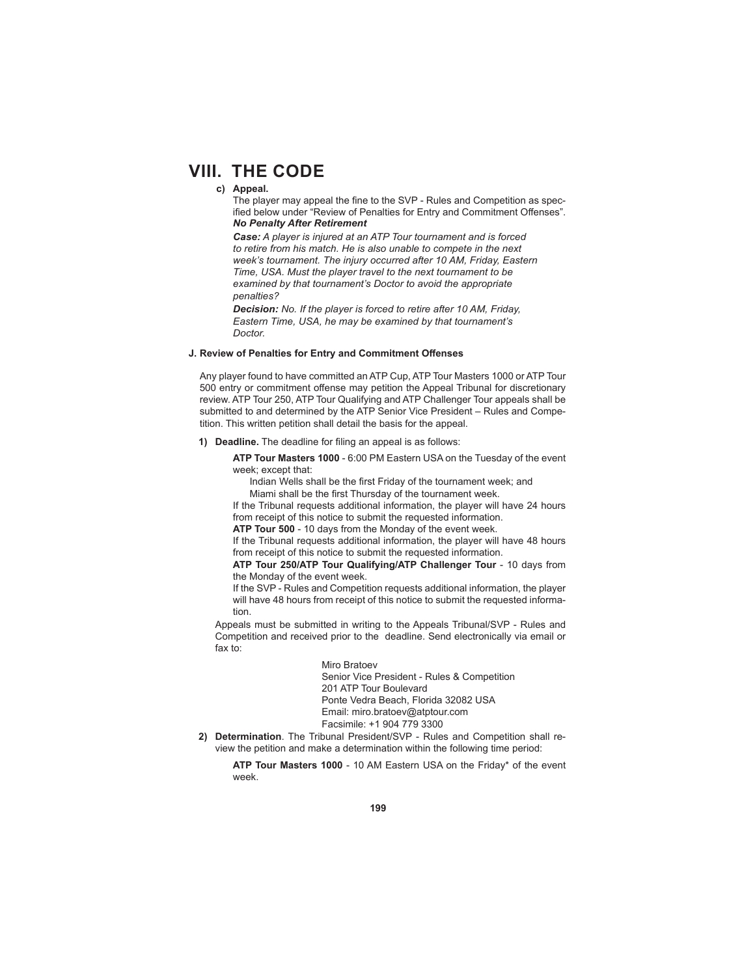### **c) Appeal.**

The player may appeal the fine to the SVP - Rules and Competition as specified below under "Review of Penalties for Entry and Commitment Offenses". *No Penalty After Retirement*

*Case: A player is injured at an ATP Tour tournament and is forced to retire from his match. He is also unable to compete in the next week's tournament. The injury occurred after 10 AM, Friday, Eastern Time, USA. Must the player travel to the next tournament to be examined by that tournament's Doctor to avoid the appropriate penalties?*

*Decision: No. If the player is forced to retire after 10 AM, Friday, Eastern Time, USA, he may be examined by that tournament's Doctor.* 

### **J. Review of Penalties for Entry and Commitment Off enses**

 Any player found to have committed an ATP Cup, ATP Tour Masters 1000 or ATP Tour 500 entry or commitment offense may petition the Appeal Tribunal for discretionary review. ATP Tour 250, ATP Tour Qualifying and ATP Challenger Tour appeals shall be submitted to and determined by the ATP Senior Vice President – Rules and Competition. This written petition shall detail the basis for the appeal.

#### **1) Deadline.** The deadline for filing an appeal is as follows:

**ATP Tour Masters 1000** - 6:00 PM Eastern USA on the Tuesday of the event week; except that:

Indian Wells shall be the first Friday of the tournament week; and

Miami shall be the first Thursday of the tournament week.

 If the Tribunal requests additional information, the player will have 24 hours from receipt of this notice to submit the requested information.

**ATP Tour 500** - 10 days from the Monday of the event week.

 If the Tribunal requests additional information, the player will have 48 hours from receipt of this notice to submit the requested information.

**ATP Tour 250/ATP Tour Qualifying/ATP Challenger Tour** - 10 days from the Monday of the event week.

 If the SVP - Rules and Competition requests additional information, the player will have 48 hours from receipt of this notice to submit the requested information.

 Appeals must be submitted in writing to the Appeals Tribunal/SVP - Rules and Competition and received prior to the deadline. Send electronically via email or fax to:

> Miro Bratoev Senior Vice President - Rules & Competition 201 ATP Tour Boulevard Ponte Vedra Beach, Florida 32082 USA Email: miro.bratoev@atptour.com Facsimile: +1 904 779 3300

**2) Determination**. The Tribunal President/SVP - Rules and Competition shall review the petition and make a determination within the following time period:

**ATP Tour Masters 1000** - 10 AM Eastern USA on the Friday\* of the event week.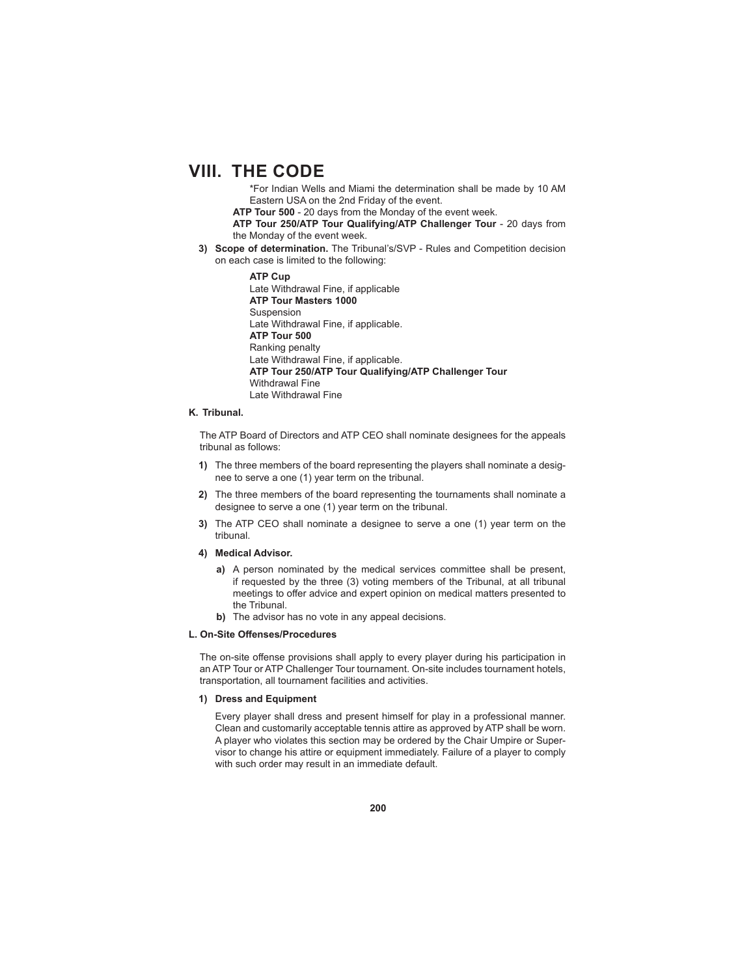\*For Indian Wells and Miami the determination shall be made by 10 AM Eastern USA on the 2nd Friday of the event.

**ATP Tour 500** - 20 days from the Monday of the event week.

**ATP Tour 250/ATP Tour Qualifying/ATP Challenger Tour** - 20 days from the Monday of the event week.

**3) Scope of determination.** The Tribunal's/SVP - Rules and Competition decision on each case is limited to the following:

> **ATP Cup** Late Withdrawal Fine, if applicable **ATP Tour Masters 1000** Suspension Late Withdrawal Fine, if applicable. **ATP Tour 500** Ranking penalty Late Withdrawal Fine, if applicable. **ATP Tour 250/ATP Tour Qualifying/ATP Challenger Tour**  Withdrawal Fine Late Withdrawal Fine

### **K. Tribunal.**

 The ATP Board of Directors and ATP CEO shall nominate designees for the appeals tribunal as follows:

- **1)** The three members of the board representing the players shall nominate a designee to serve a one (1) year term on the tribunal.
- **2)** The three members of the board representing the tournaments shall nominate a designee to serve a one (1) year term on the tribunal.
- **3)** The ATP CEO shall nominate a designee to serve a one (1) year term on the tribunal.
- **4) Medical Advisor.**
	- **a)** A person nominated by the medical services committee shall be present, if requested by the three (3) voting members of the Tribunal, at all tribunal meetings to offer advice and expert opinion on medical matters presented to the Tribunal.
	- **b)** The advisor has no vote in any appeal decisions.

### **L. On-Site Off enses/Procedures**

The on-site offense provisions shall apply to every player during his participation in an ATP Tour or ATP Challenger Tour tournament. On-site includes tournament hotels, transportation, all tournament facilities and activities.

#### **1) Dress and Equipment**

 Every player shall dress and present himself for play in a professional manner. Clean and customarily acceptable tennis attire as approved by ATP shall be worn. A player who violates this section may be ordered by the Chair Umpire or Supervisor to change his attire or equipment immediately. Failure of a player to comply with such order may result in an immediate default.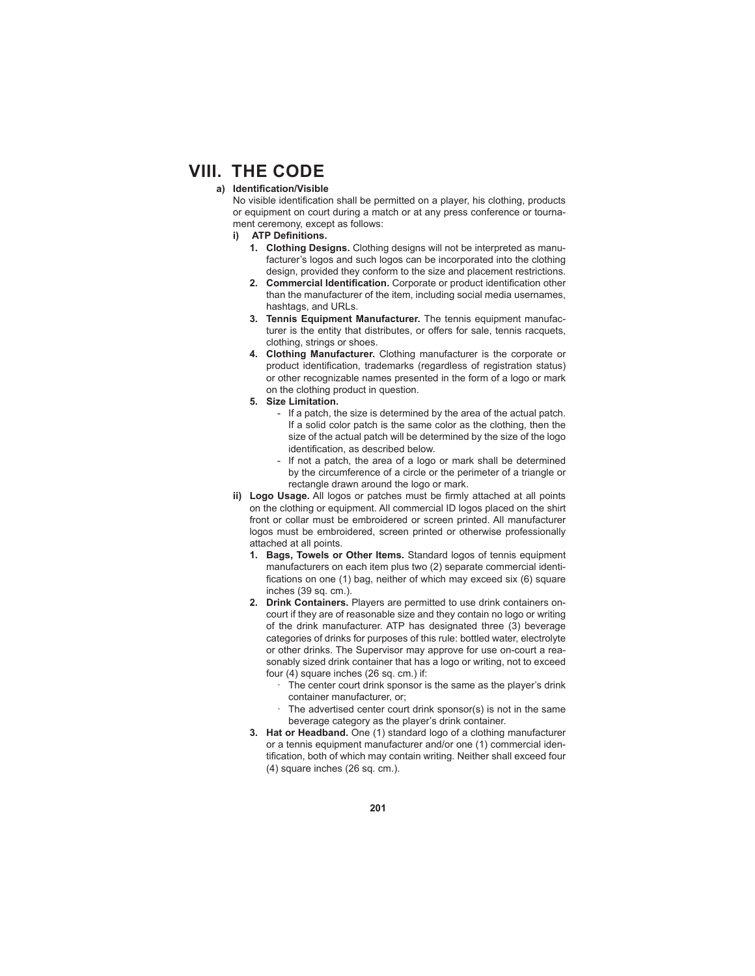### a) Identification/Visible

No visible identification shall be permitted on a player, his clothing, products or equipment on court during a match or at any press conference or tournament ceremony, except as follows:

- **i)** ATP Definitions.
	- **1. Clothing Designs.** Clothing designs will not be interpreted as manufacturer's logos and such logos can be incorporated into the clothing design, provided they conform to the size and placement restrictions.
	- 2. Commercial Identification. Corporate or product identification other than the manufacturer of the item, including social media usernames, hashtags, and URLs.
	- **3. Tennis Equipment Manufacturer.** The tennis equipment manufacturer is the entity that distributes, or offers for sale, tennis racquets, clothing, strings or shoes.
	- **4. Clothing Manufacturer.** Clothing manufacturer is the corporate or product identification, trademarks (regardless of registration status) or other recognizable names presented in the form of a logo or mark on the clothing product in question.
	- **5. Size Limitation.**
		- If a patch, the size is determined by the area of the actual patch. If a solid color patch is the same color as the clothing, then the size of the actual patch will be determined by the size of the logo identification, as described below.
		- If not a patch, the area of a logo or mark shall be determined by the circumference of a circle or the perimeter of a triangle or rectangle drawn around the logo or mark.
- ii) Logo Usage. All logos or patches must be firmly attached at all points on the clothing or equipment. All commercial ID logos placed on the shirt front or collar must be embroidered or screen printed. All manufacturer logos must be embroidered, screen printed or otherwise professionally attached at all points.
	- **1. Bags, Towels or Other Items.** Standard logos of tennis equipment manufacturers on each item plus two (2) separate commercial identifications on one (1) bag, neither of which may exceed six (6) square inches (39 sq. cm.).
	- **2. Drink Containers.** Players are permitted to use drink containers oncourt if they are of reasonable size and they contain no logo or writing of the drink manufacturer. ATP has designated three (3) beverage categories of drinks for purposes of this rule: bottled water, electrolyte or other drinks. The Supervisor may approve for use on-court a reasonably sized drink container that has a logo or writing, not to exceed four (4) square inches (26 sq. cm.) if:
		- The center court drink sponsor is the same as the player's drink container manufacturer, or;
		- The advertised center court drink sponsor(s) is not in the same beverage category as the player's drink container.
	- **3. Hat or Headband.** One (1) standard logo of a clothing manufacturer or a tennis equipment manufacturer and/or one (1) commercial identification, both of which may contain writing. Neither shall exceed four (4) square inches (26 sq. cm.).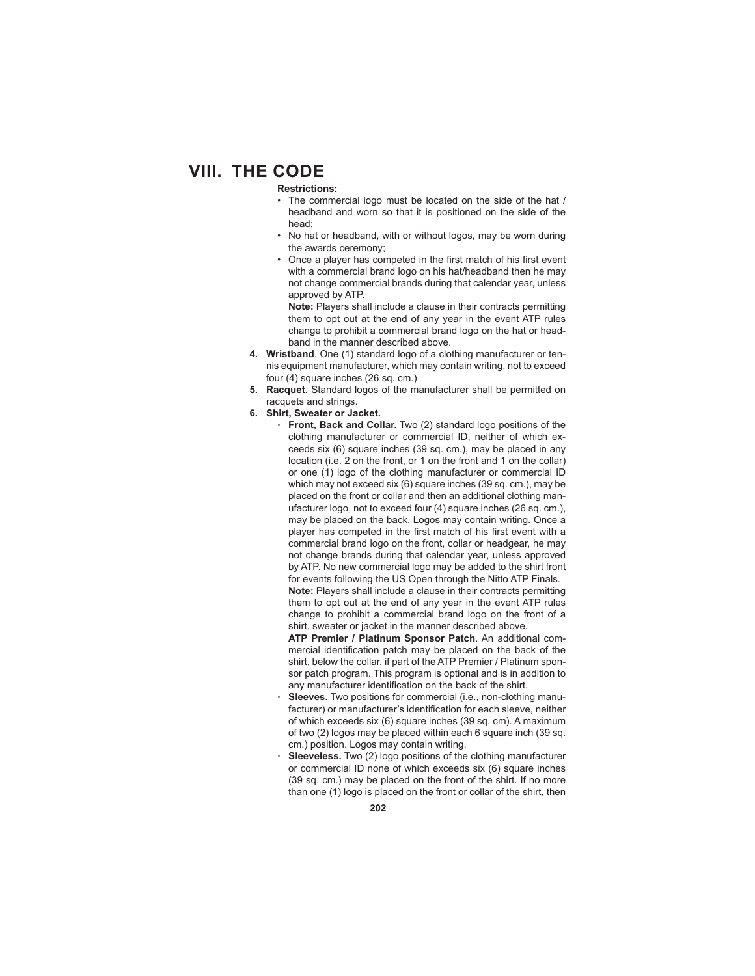### **Restrictions:**

- The commercial logo must be located on the side of the hat / headband and worn so that it is positioned on the side of the head;
- No hat or headband, with or without logos, may be worn during the awards ceremony;
- Once a player has competed in the first match of his first event with a commercial brand logo on his hat/headband then he may not change commercial brands during that calendar year, unless approved by ATP.

**Note:** Players shall include a clause in their contracts permitting them to opt out at the end of any year in the event ATP rules change to prohibit a commercial brand logo on the hat or headband in the manner described above.

- **4. Wristband**. One (1) standard logo of a clothing manufacturer or tennis equipment manufacturer, which may contain writing, not to exceed four (4) square inches (26 sq. cm.)
- **5. Racquet.** Standard logos of the manufacturer shall be permitted on racquets and strings.
- **6. Shirt, Sweater or Jacket.**
	- **· Front, Back and Collar.** Two (2) standard logo positions of the clothing manufacturer or commercial ID, neither of which exceeds six (6) square inches (39 sq. cm.), may be placed in any location (i.e. 2 on the front, or 1 on the front and 1 on the collar) or one (1) logo of the clothing manufacturer or commercial ID which may not exceed six (6) square inches (39 sq. cm.), may be placed on the front or collar and then an additional clothing manufacturer logo, not to exceed four (4) square inches (26 sq. cm.), may be placed on the back. Logos may contain writing. Once a player has competed in the first match of his first event with a commercial brand logo on the front, collar or headgear, he may not change brands during that calendar year, unless approved by ATP. No new commercial logo may be added to the shirt front for events following the US Open through the Nitto ATP Finals.

 **Note:** Players shall include a clause in their contracts permitting them to opt out at the end of any year in the event ATP rules change to prohibit a commercial brand logo on the front of a shirt, sweater or jacket in the manner described above.

**ATP Premier / Platinum Sponsor Patch**. An additional commercial identification patch may be placed on the back of the shirt, below the collar, if part of the ATP Premier / Platinum sponsor patch program. This program is optional and is in addition to any manufacturer identification on the back of the shirt.

- **· Sleeves.** Two positions for commercial (i.e., non-clothing manufacturer) or manufacturer's identification for each sleeve, neither of which exceeds six (6) square inches (39 sq. cm). A maximum of two (2) logos may be placed within each 6 square inch (39 sq. cm.) position. Logos may contain writing.
- **· Sleeveless.** Two (2) logo positions of the clothing manufacturer or commercial ID none of which exceeds six (6) square inches (39 sq. cm.) may be placed on the front of the shirt. If no more than one (1) logo is placed on the front or collar of the shirt, then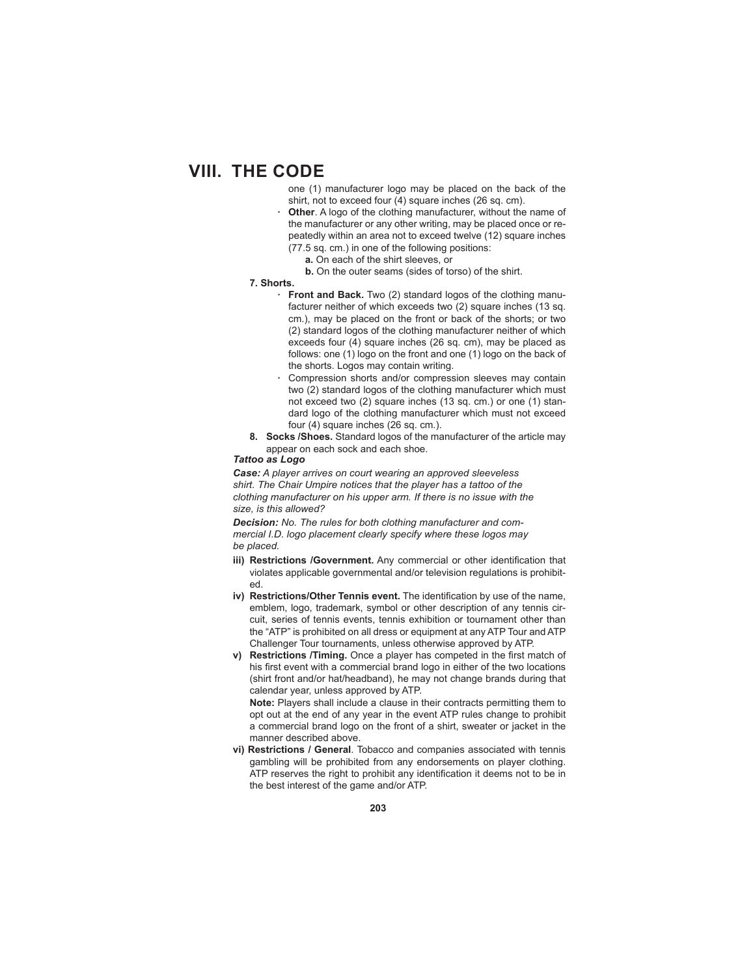one (1) manufacturer logo may be placed on the back of the shirt, not to exceed four (4) square inches (26 sq. cm).

- **Other**. A logo of the clothing manufacturer, without the name of the manufacturer or any other writing, may be placed once or repeatedly within an area not to exceed twelve (12) square inches (77.5 sq. cm.) in one of the following positions:
	- **a.** On each of the shirt sleeves, or
	- **b.** On the outer seams (sides of torso) of the shirt.

### **7. Shorts.**

- **· Front and Back.** Two (2) standard logos of the clothing manufacturer neither of which exceeds two (2) square inches (13 sq. cm.), may be placed on the front or back of the shorts; or two (2) standard logos of the clothing manufacturer neither of which exceeds four (4) square inches (26 sq. cm), may be placed as follows: one (1) logo on the front and one (1) logo on the back of the shorts. Logos may contain writing.
- Compression shorts and/or compression sleeves may contain two (2) standard logos of the clothing manufacturer which must not exceed two (2) square inches (13 sq. cm.) or one (1) standard logo of the clothing manufacturer which must not exceed four (4) square inches (26 sq. cm.).
- **8. Socks /Shoes.** Standard logos of the manufacturer of the article may appear on each sock and each shoe.

## *Tattoo as Logo*

*Case: A player arrives on court wearing an approved sleeveless shirt. The Chair Umpire notices that the player has a tattoo of the clothing manufacturer on his upper arm. If there is no issue with the size, is this allowed?*

*Decision: No. The rules for both clothing manufacturer and commercial I.D. logo placement clearly specify where these logos may be placed.*

- **iii) Restrictions / Government.** Any commercial or other identification that violates applicable governmental and/or television regulations is prohibited.
- iv) Restrictions/Other Tennis event. The identification by use of the name, emblem, logo, trademark, symbol or other description of any tennis circuit, series of tennis events, tennis exhibition or tournament other than the "ATP" is prohibited on all dress or equipment at any ATP Tour and ATP Challenger Tour tournaments, unless otherwise approved by ATP.
- **v)** Restrictions / Timing. Once a player has competed in the first match of his first event with a commercial brand logo in either of the two locations (shirt front and/or hat/headband), he may not change brands during that calendar year, unless approved by ATP.

**Note:** Players shall include a clause in their contracts permitting them to opt out at the end of any year in the event ATP rules change to prohibit a commercial brand logo on the front of a shirt, sweater or jacket in the manner described above.

**vi) Restrictions / General**. Tobacco and companies associated with tennis gambling will be prohibited from any endorsements on player clothing. ATP reserves the right to prohibit any identification it deems not to be in the best interest of the game and/or ATP.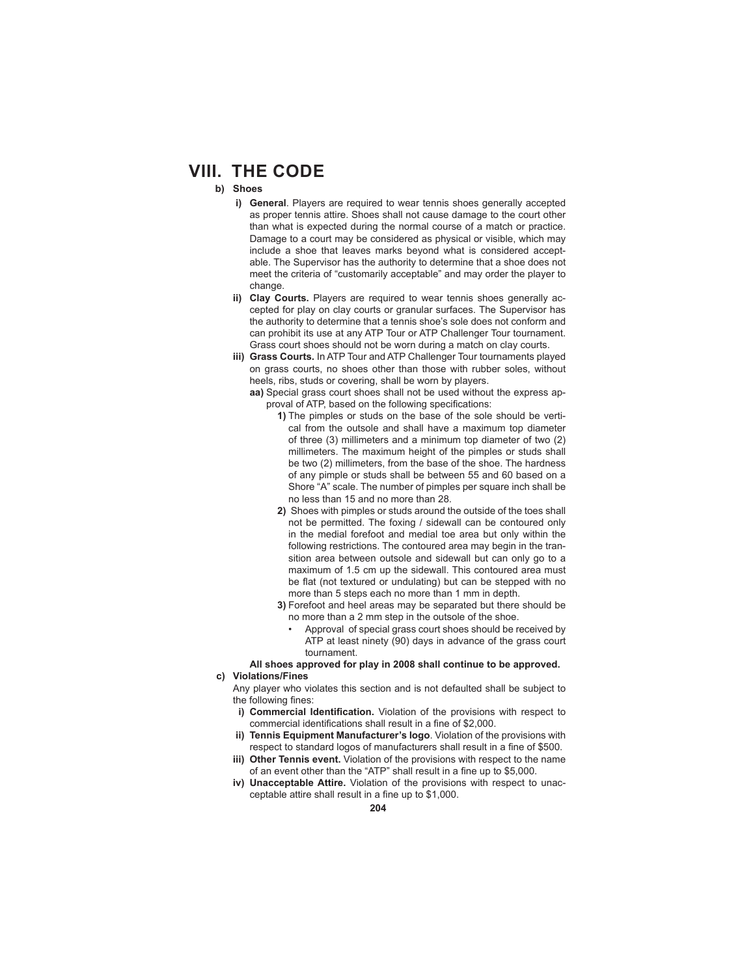## **b) Shoes**

- **i) General**. Players are required to wear tennis shoes generally accepted as proper tennis attire. Shoes shall not cause damage to the court other than what is expected during the normal course of a match or practice. Damage to a court may be considered as physical or visible, which may include a shoe that leaves marks beyond what is considered acceptable. The Supervisor has the authority to determine that a shoe does not meet the criteria of "customarily acceptable" and may order the player to change.
- **ii) Clay Courts.** Players are required to wear tennis shoes generally accepted for play on clay courts or granular surfaces. The Supervisor has the authority to determine that a tennis shoe's sole does not conform and can prohibit its use at any ATP Tour or ATP Challenger Tour tournament. Grass court shoes should not be worn during a match on clay courts.
- **iii) Grass Courts.** In ATP Tour and ATP Challenger Tour tournaments played on grass courts, no shoes other than those with rubber soles, without heels, ribs, studs or covering, shall be worn by players.
	- **aa)** Special grass court shoes shall not be used without the express approval of ATP, based on the following specifications:
		- **1)** The pimples or studs on the base of the sole should be vertical from the outsole and shall have a maximum top diameter of three (3) millimeters and a minimum top diameter of two (2) millimeters. The maximum height of the pimples or studs shall be two (2) millimeters, from the base of the shoe. The hardness of any pimple or studs shall be between 55 and 60 based on a Shore "A" scale. The number of pimples per square inch shall be no less than 15 and no more than 28.
		- **2)** Shoes with pimples or studs around the outside of the toes shall not be permitted. The foxing / sidewall can be contoured only in the medial forefoot and medial toe area but only within the following restrictions. The contoured area may begin in the transition area between outsole and sidewall but can only go to a maximum of 1.5 cm up the sidewall. This contoured area must be flat (not textured or undulating) but can be stepped with no more than 5 steps each no more than 1 mm in depth.
		- **3)** Forefoot and heel areas may be separated but there should be no more than a 2 mm step in the outsole of the shoe.
			- Approval of special grass court shoes should be received by ATP at least ninety (90) days in advance of the grass court tournament.

## **All shoes approved for play in 2008 shall continue to be approved.**

**c) Violations/Fines**

 Any player who violates this section and is not defaulted shall be subject to the following fines:

- **i) Commercial Identification.** Violation of the provisions with respect to commercial identifications shall result in a fine of \$2,000.
- **Tennis Equipment Manufacturer's logo**. Violation of the provisions with respect to standard logos of manufacturers shall result in a fine of \$500.
- **iii) Other Tennis event.** Violation of the provisions with respect to the name of an event other than the "ATP" shall result in a fine up to \$5,000.
- **iv) Unacceptable Attire.** Violation of the provisions with respect to unacceptable attire shall result in a fine up to \$1,000.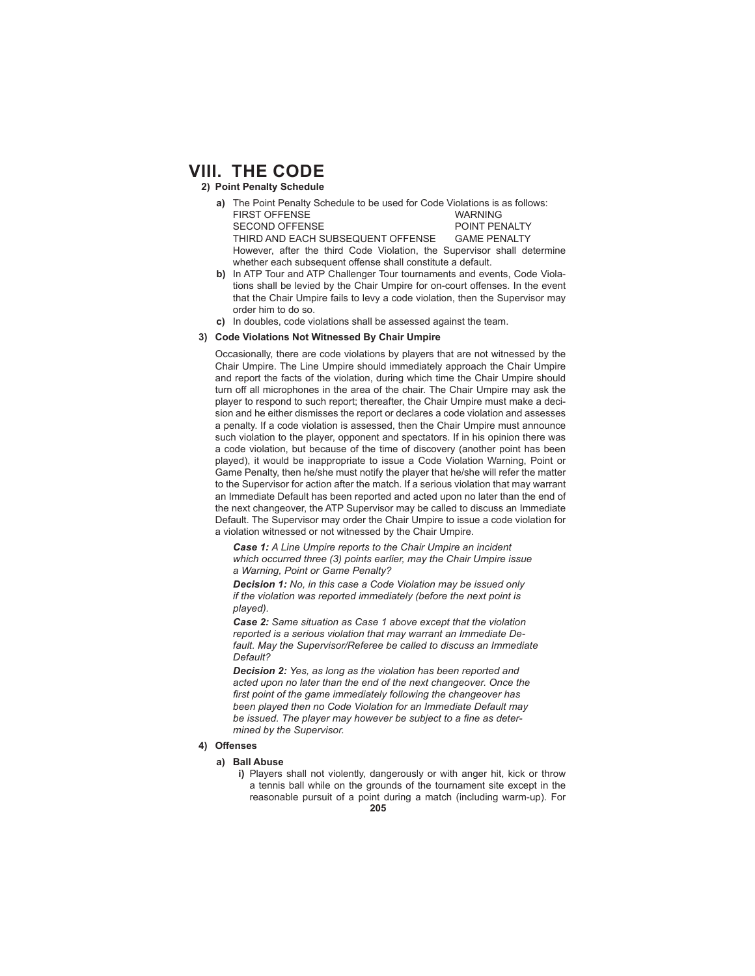### **2) Point Penalty Schedule**

- **a)** The Point Penalty Schedule to be used for Code Violations is as follows: FIRST OFFENSE WARNING SECOND OFFENSE POINT PENALTY<br>THIRD AND EACH SUBSEQUENT OFFENSE GAME PENALTY THIRD AND EACH SUBSEQUENT OFFENSE However, after the third Code Violation, the Supervisor shall determine whether each subsequent offense shall constitute a default.
- **b)** In ATP Tour and ATP Challenger Tour tournaments and events, Code Violations shall be levied by the Chair Umpire for on-court offenses. In the event that the Chair Umpire fails to levy a code violation, then the Supervisor may order him to do so.
- **c)** In doubles, code violations shall be assessed against the team.

#### **3) Code Violations Not Witnessed By Chair Umpire**

 Occasionally, there are code violations by players that are not witnessed by the Chair Umpire. The Line Umpire should immediately approach the Chair Umpire and report the facts of the violation, during which time the Chair Umpire should turn off all microphones in the area of the chair. The Chair Umpire may ask the player to respond to such report; thereafter, the Chair Umpire must make a decision and he either dismisses the report or declares a code violation and assesses a penalty. If a code violation is assessed, then the Chair Umpire must announce such violation to the player, opponent and spectators. If in his opinion there was a code violation, but because of the time of discovery (another point has been played), it would be inappropriate to issue a Code Violation Warning, Point or Game Penalty, then he/she must notify the player that he/she will refer the matter to the Supervisor for action after the match. If a serious violation that may warrant an Immediate Default has been reported and acted upon no later than the end of the next changeover, the ATP Supervisor may be called to discuss an Immediate Default. The Supervisor may order the Chair Umpire to issue a code violation for a violation witnessed or not witnessed by the Chair Umpire.

*Case 1: A Line Umpire reports to the Chair Umpire an incident which occurred three (3) points earlier, may the Chair Umpire issue a Warning, Point or Game Penalty?*

*Decision 1: No, in this case a Code Violation may be issued only if the violation was reported immediately (before the next point is played).*

*Case 2: Same situation as Case 1 above except that the violation reported is a serious violation that may warrant an Immediate Default. May the Supervisor/Referee be called to discuss an Immediate Default?*

*Decision 2: Yes, as long as the violation has been reported and acted upon no later than the end of the next changeover. Once the*  first point of the game immediately following the changeover has *been played then no Code Violation for an Immediate Default may*  be issued. The player may however be subject to a fine as deter*mined by the Supervisor.*

## **4) Off enses**

- **a) Ball Abuse**
	- **i)** Players shall not violently, dangerously or with anger hit, kick or throw a tennis ball while on the grounds of the tournament site except in the reasonable pursuit of a point during a match (including warm-up). For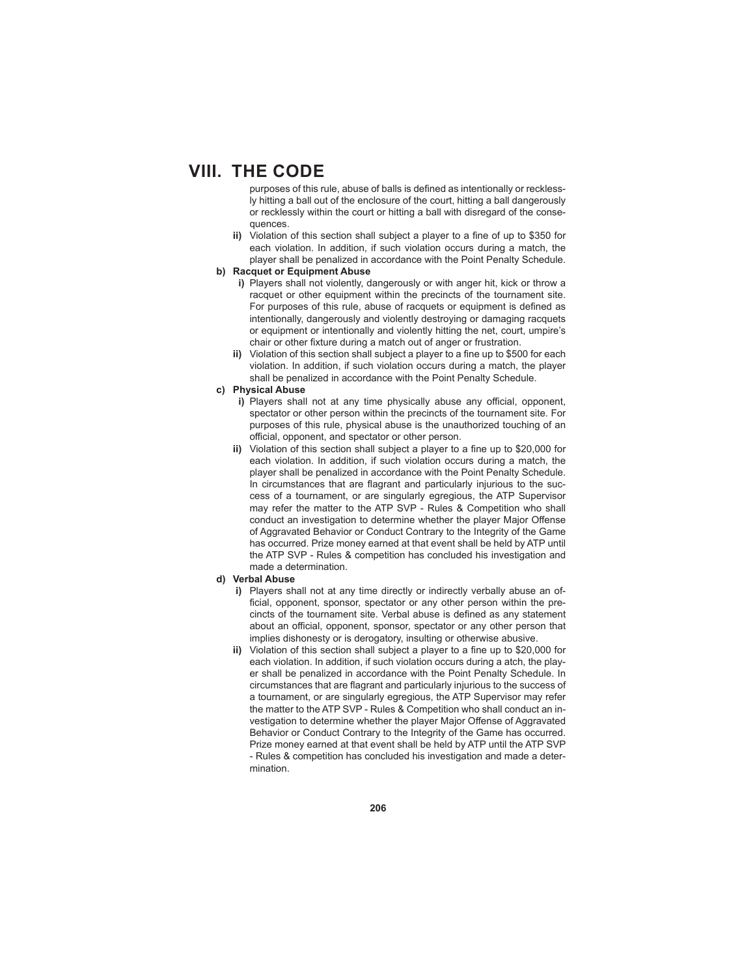purposes of this rule, abuse of balls is defined as intentionally or recklessly hitting a ball out of the enclosure of the court, hitting a ball dangerously or recklessly within the court or hitting a ball with disregard of the consequences.

ii) Violation of this section shall subject a player to a fine of up to \$350 for each violation. In addition, if such violation occurs during a match, the player shall be penalized in accordance with the Point Penalty Schedule.

## **b) Racquet or Equipment Abuse**

- **i)** Players shall not violently, dangerously or with anger hit, kick or throw a racquet or other equipment within the precincts of the tournament site. For purposes of this rule, abuse of racquets or equipment is defined as intentionally, dangerously and violently destroying or damaging racquets or equipment or intentionally and violently hitting the net, court, umpire's chair or other fixture during a match out of anger or frustration.
- **ii)** Violation of this section shall subject a player to a fine up to \$500 for each violation. In addition, if such violation occurs during a match, the player shall be penalized in accordance with the Point Penalty Schedule.

## **c) Physical Abuse**

- **i)** Players shall not at any time physically abuse any official, opponent, spectator or other person within the precincts of the tournament site. For purposes of this rule, physical abuse is the unauthorized touching of an official, opponent, and spectator or other person.
- ii) Violation of this section shall subject a player to a fine up to \$20,000 for each violation. In addition, if such violation occurs during a match, the player shall be penalized in accordance with the Point Penalty Schedule. In circumstances that are flagrant and particularly injurious to the success of a tournament, or are singularly egregious, the ATP Supervisor may refer the matter to the ATP SVP - Rules & Competition who shall conduct an investigation to determine whether the player Major Offense of Aggravated Behavior or Conduct Contrary to the Integrity of the Game has occurred. Prize money earned at that event shall be held by ATP until the ATP SVP - Rules & competition has concluded his investigation and made a determination.

#### **d) Verbal Abuse**

- **i)** Players shall not at any time directly or indirectly verbally abuse an official, opponent, sponsor, spectator or any other person within the precincts of the tournament site. Verbal abuse is defined as any statement about an official, opponent, sponsor, spectator or any other person that implies dishonesty or is derogatory, insulting or otherwise abusive.
- ii) Violation of this section shall subject a player to a fine up to \$20,000 for each violation. In addition, if such violation occurs during a atch, the player shall be penalized in accordance with the Point Penalty Schedule. In circumstances that are flagrant and particularly injurious to the success of a tournament, or are singularly egregious, the ATP Supervisor may refer the matter to the ATP SVP - Rules & Competition who shall conduct an investigation to determine whether the player Major Offense of Aggravated Behavior or Conduct Contrary to the Integrity of the Game has occurred. Prize money earned at that event shall be held by ATP until the ATP SVP - Rules & competition has concluded his investigation and made a determination.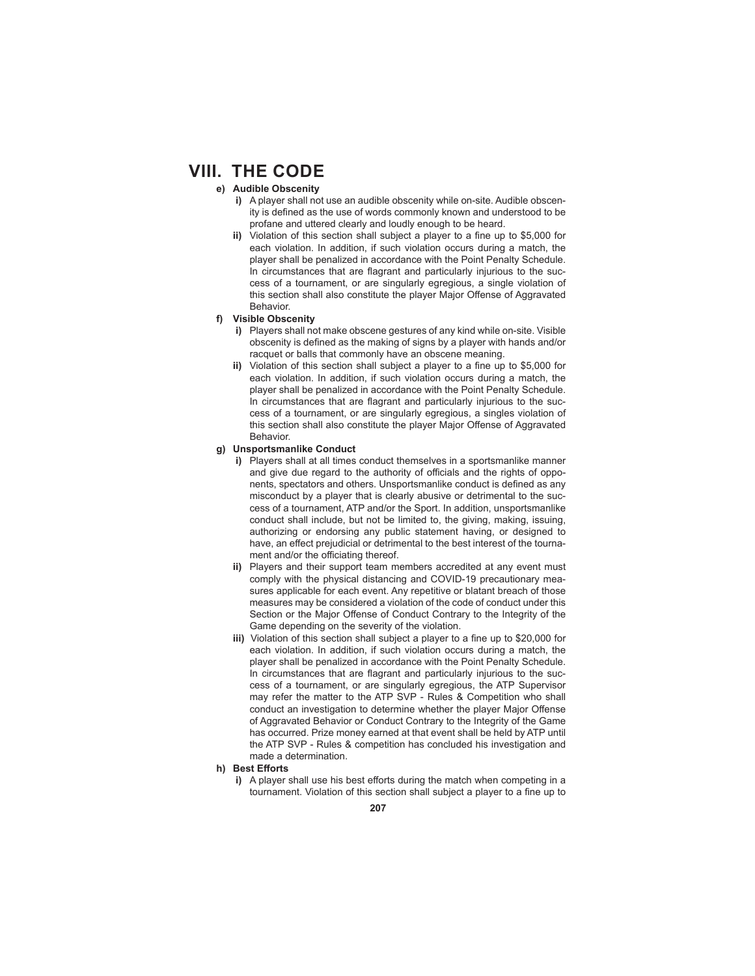### **e) Audible Obscenity**

- **i)** A player shall not use an audible obscenity while on-site. Audible obscenity is defined as the use of words commonly known and understood to be profane and uttered clearly and loudly enough to be heard.
- ii) Violation of this section shall subject a player to a fine up to \$5,000 for each violation. In addition, if such violation occurs during a match, the player shall be penalized in accordance with the Point Penalty Schedule. In circumstances that are flagrant and particularly injurious to the success of a tournament, or are singularly egregious, a single violation of this section shall also constitute the player Major Offense of Aggravated Behavior.

### **f) Visible Obscenity**

- **i)** Players shall not make obscene gestures of any kind while on-site. Visible obscenity is defined as the making of signs by a player with hands and/or racquet or balls that commonly have an obscene meaning.
- ii) Violation of this section shall subject a player to a fine up to \$5,000 for each violation. In addition, if such violation occurs during a match, the player shall be penalized in accordance with the Point Penalty Schedule. In circumstances that are flagrant and particularly injurious to the success of a tournament, or are singularly egregious, a singles violation of this section shall also constitute the player Major Offense of Aggravated Behavior.

#### **g) Unsportsmanlike Conduct**

- **i)** Players shall at all times conduct themselves in a sportsmanlike manner and give due regard to the authority of officials and the rights of opponents, spectators and others. Unsportsmanlike conduct is defined as any misconduct by a player that is clearly abusive or detrimental to the success of a tournament, ATP and/or the Sport. In addition, unsportsmanlike conduct shall include, but not be limited to, the giving, making, issuing, authorizing or endorsing any public statement having, or designed to have, an effect prejudicial or detrimental to the best interest of the tournament and/or the officiating thereof.
- **ii)** Players and their support team members accredited at any event must comply with the physical distancing and COVID-19 precautionary measures applicable for each event. Any repetitive or blatant breach of those measures may be considered a violation of the code of conduct under this Section or the Major Offense of Conduct Contrary to the Integrity of the Game depending on the severity of the violation.
- **iii)** Violation of this section shall subject a player to a fine up to \$20,000 for each violation. In addition, if such violation occurs during a match, the player shall be penalized in accordance with the Point Penalty Schedule. In circumstances that are flagrant and particularly injurious to the success of a tournament, or are singularly egregious, the ATP Supervisor may refer the matter to the ATP SVP - Rules & Competition who shall conduct an investigation to determine whether the player Major Offense of Aggravated Behavior or Conduct Contrary to the Integrity of the Game has occurred. Prize money earned at that event shall be held by ATP until the ATP SVP - Rules & competition has concluded his investigation and made a determination.
- **h)** Best Efforts
	- **i)** A player shall use his best efforts during the match when competing in a tournament. Violation of this section shall subject a player to a fine up to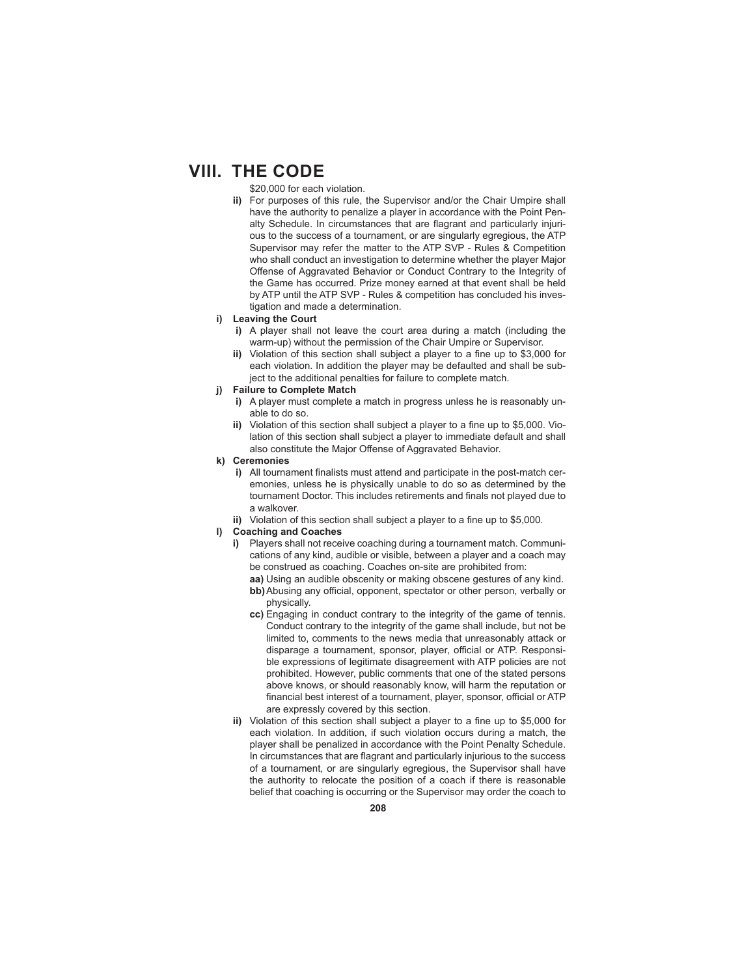\$20,000 for each violation.

**ii)** For purposes of this rule, the Supervisor and/or the Chair Umpire shall have the authority to penalize a player in accordance with the Point Penalty Schedule. In circumstances that are flagrant and particularly injurious to the success of a tournament, or are singularly egregious, the ATP Supervisor may refer the matter to the ATP SVP - Rules & Competition who shall conduct an investigation to determine whether the player Major Offense of Aggravated Behavior or Conduct Contrary to the Integrity of the Game has occurred. Prize money earned at that event shall be held by ATP until the ATP SVP - Rules & competition has concluded his investigation and made a determination.

#### **i) Leaving the Court**

- **i)** A player shall not leave the court area during a match (including the warm-up) without the permission of the Chair Umpire or Supervisor.
- ii) Violation of this section shall subject a player to a fine up to \$3,000 for each violation. In addition the player may be defaulted and shall be subject to the additional penalties for failure to complete match.

#### **j) Failure to Complete Match**

- **i)** A player must complete a match in progress unless he is reasonably unable to do so.
- ii) Violation of this section shall subject a player to a fine up to \$5,000. Violation of this section shall subject a player to immediate default and shall also constitute the Major Offense of Aggravated Behavior.
- **k) Ceremonies**
	- **i)** All tournament finalists must attend and participate in the post-match ceremonies, unless he is physically unable to do so as determined by the tournament Doctor. This includes retirements and finals not played due to a walkover.
	- **ii)** Violation of this section shall subject a player to a fine up to \$5,000.
- **l) Coaching and Coaches**
	- **i)** Players shall not receive coaching during a tournament match. Communications of any kind, audible or visible, between a player and a coach may be construed as coaching. Coaches on-site are prohibited from:
		- **aa)** Using an audible obscenity or making obscene gestures of any kind. **bb)** Abusing any official, opponent, spectator or other person, verbally or physically.
		- **cc)** Engaging in conduct contrary to the integrity of the game of tennis. Conduct contrary to the integrity of the game shall include, but not be limited to, comments to the news media that unreasonably attack or disparage a tournament, sponsor, player, official or ATP. Responsible expressions of legitimate disagreement with ATP policies are not prohibited. However, public comments that one of the stated persons above knows, or should reasonably know, will harm the reputation or financial best interest of a tournament, player, sponsor, official or ATP are expressly covered by this section.
	- **ii)** Violation of this section shall subject a player to a fine up to \$5,000 for each violation. In addition, if such violation occurs during a match, the player shall be penalized in accordance with the Point Penalty Schedule. In circumstances that are flagrant and particularly injurious to the success of a tournament, or are singularly egregious, the Supervisor shall have the authority to relocate the position of a coach if there is reasonable belief that coaching is occurring or the Supervisor may order the coach to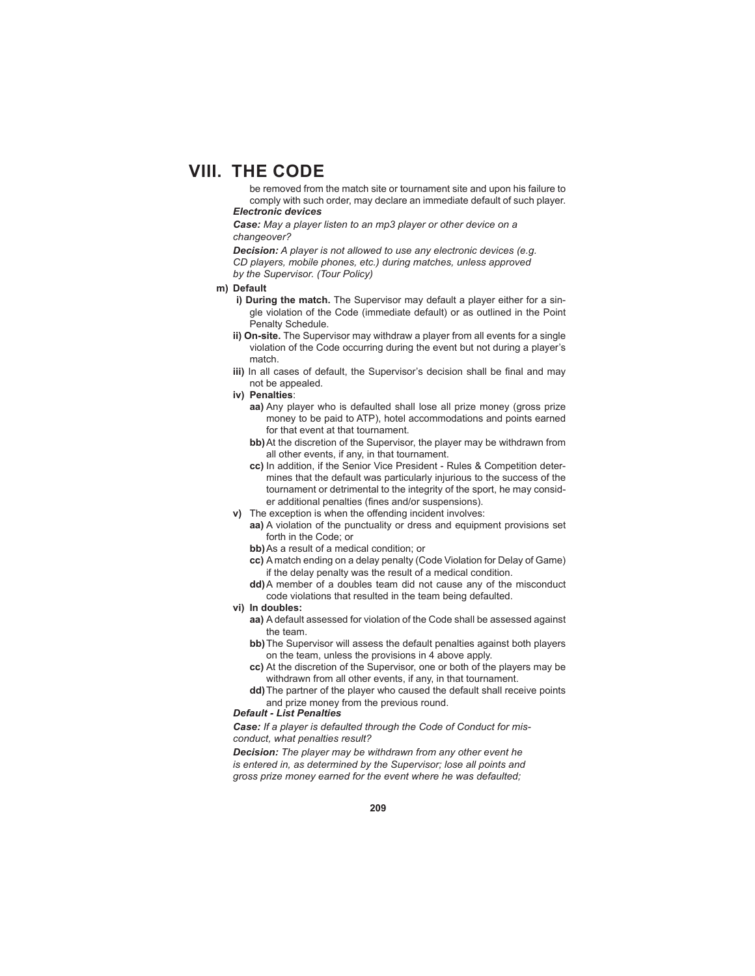be removed from the match site or tournament site and upon his failure to comply with such order, may declare an immediate default of such player. *Electronic devices*

*Case: May a player listen to an mp3 player or other device on a changeover?*

*Decision: A player is not allowed to use any electronic devices (e.g. CD players, mobile phones, etc.) during matches, unless approved by the Supervisor. (Tour Policy)*

#### **m) Default**

- **i) During the match.** The Supervisor may default a player either for a single violation of the Code (immediate default) or as outlined in the Point Penalty Schedule.
- **ii) On-site.** The Supervisor may withdraw a player from all events for a single violation of the Code occurring during the event but not during a player's match.
- iii) In all cases of default, the Supervisor's decision shall be final and may not be appealed.
- **iv) Penalties**:
	- **aa)** Any player who is defaulted shall lose all prize money (gross prize money to be paid to ATP), hotel accommodations and points earned for that event at that tournament.
	- **bb)** At the discretion of the Supervisor, the player may be withdrawn from all other events, if any, in that tournament.
	- **cc)** In addition, if the Senior Vice President Rules & Competition determines that the default was particularly injurious to the success of the tournament or detrimental to the integrity of the sport, he may consider additional penalties (fines and/or suspensions).
- **v)** The exception is when the offending incident involves:
	- **aa)** A violation of the punctuality or dress and equipment provisions set forth in the Code; or
	- **bb)** As a result of a medical condition; or
	- **cc)** A match ending on a delay penalty (Code Violation for Delay of Game) if the delay penalty was the result of a medical condition.
	- **dd)** A member of a doubles team did not cause any of the misconduct code violations that resulted in the team being defaulted.
- **vi) In doubles:**
	- **aa)** A default assessed for violation of the Code shall be assessed against the team.
	- **bb)** The Supervisor will assess the default penalties against both players on the team, unless the provisions in 4 above apply.
	- **cc)** At the discretion of the Supervisor, one or both of the players may be withdrawn from all other events, if any, in that tournament.
	- **dd)** The partner of the player who caused the default shall receive points and prize money from the previous round.

#### *Default - List Penalties*

*Case: If a player is defaulted through the Code of Conduct for misconduct, what penalties result?*

*Decision: The player may be withdrawn from any other event he is entered in, as determined by the Supervisor; lose all points and gross prize money earned for the event where he was defaulted;*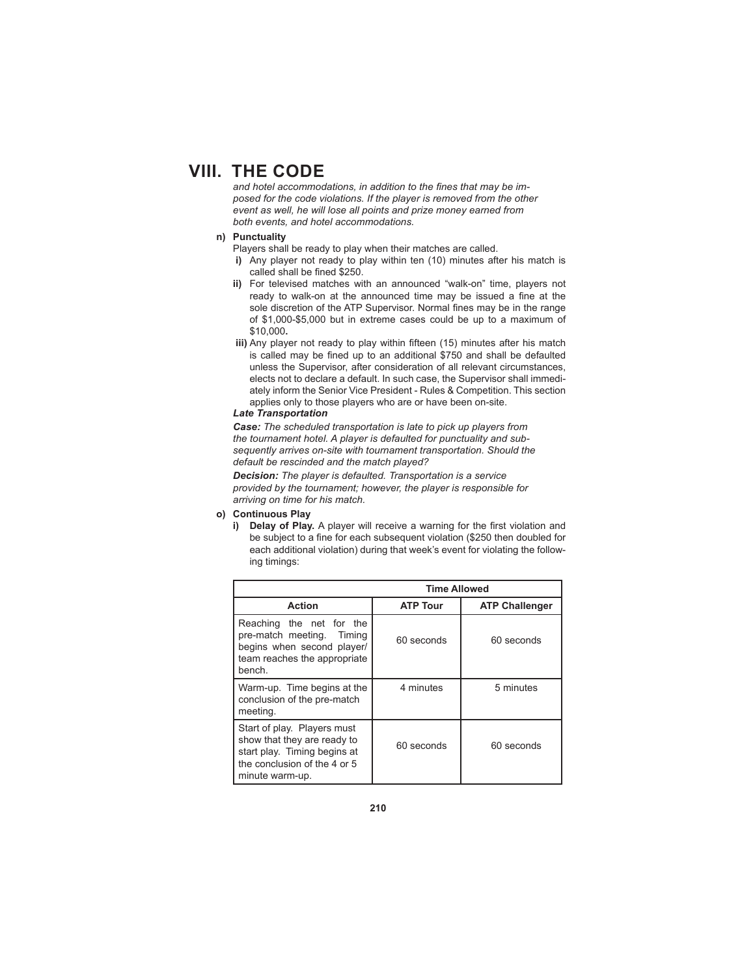and hotel accommodations, in addition to the fines that may be im*posed for the code violations. If the player is removed from the other event as well, he will lose all points and prize money earned from both events, and hotel accommodations.*

## **n) Punctuality**

Players shall be ready to play when their matches are called.

- **i)** Any player not ready to play within ten (10) minutes after his match is called shall be fined \$250.
- **ii)** For televised matches with an announced "walk-on" time, players not ready to walk-on at the announced time may be issued a fine at the sole discretion of the ATP Supervisor. Normal fines may be in the range of \$1,000-\$5,000 but in extreme cases could be up to a maximum of \$10,000**.**
- iii) Any player not ready to play within fifteen (15) minutes after his match is called may be fined up to an additional \$750 and shall be defaulted unless the Supervisor, after consideration of all relevant circumstances, elects not to declare a default. In such case, the Supervisor shall immediately inform the Senior Vice President - Rules & Competition. This section applies only to those players who are or have been on-site.

#### *Late Transportation*

*Case: The scheduled transportation is late to pick up players from the tournament hotel. A player is defaulted for punctuality and subsequently arrives on-site with tournament transportation. Should the default be rescinded and the match played?*

*Decision: The player is defaulted. Transportation is a service provided by the tournament; however, the player is responsible for arriving on time for his match.*

## **o) Continuous Play**

i) Delay of Play. A player will receive a warning for the first violation and be subject to a fine for each subsequent violation (\$250 then doubled for each additional violation) during that week's event for violating the following timings:

| <b>Time Allowed</b>                                                                                                                           |                 |                       |
|-----------------------------------------------------------------------------------------------------------------------------------------------|-----------------|-----------------------|
| <b>Action</b>                                                                                                                                 | <b>ATP Tour</b> | <b>ATP Challenger</b> |
| Reaching the net for the<br>pre-match meeting.<br>Timina<br>begins when second player/<br>team reaches the appropriate<br>bench.              | 60 seconds      | 60 seconds            |
| Warm-up. Time begins at the<br>conclusion of the pre-match<br>meeting.                                                                        | 4 minutes       | 5 minutes             |
| Start of play. Players must<br>show that they are ready to<br>start play. Timing begins at<br>the conclusion of the 4 or 5<br>minute warm-up. | 60 seconds      | 60 seconds            |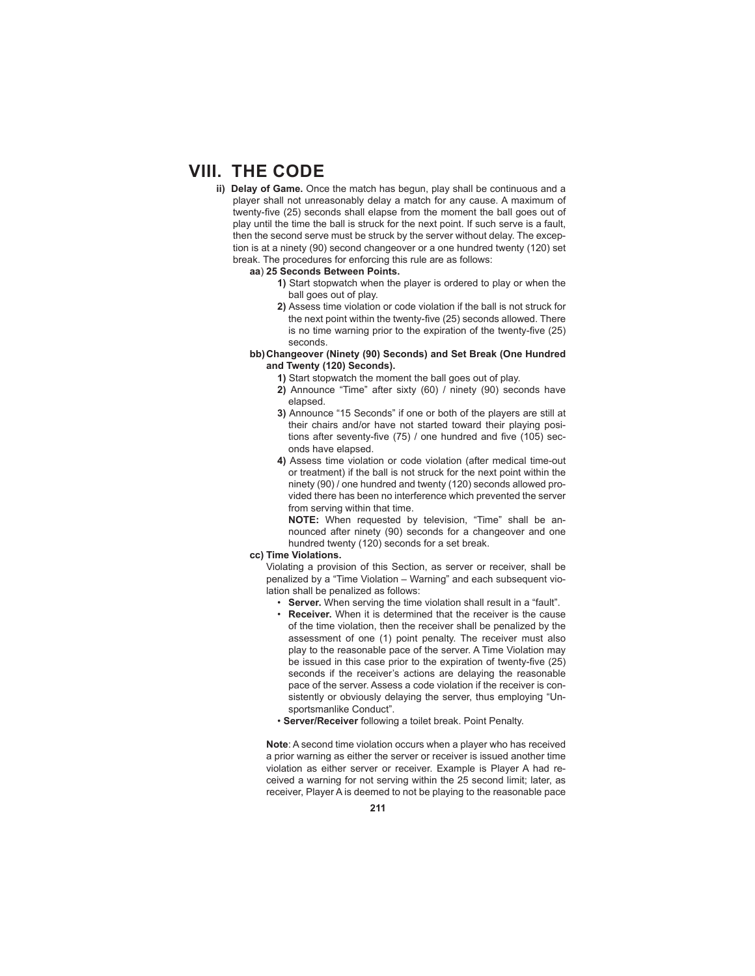- **ii) Delay of Game.** Once the match has begun, play shall be continuous and a player shall not unreasonably delay a match for any cause. A maximum of twenty-five (25) seconds shall elapse from the moment the ball goes out of play until the time the ball is struck for the next point. If such serve is a fault, then the second serve must be struck by the server without delay. The exception is at a ninety (90) second changeover or a one hundred twenty (120) set break. The procedures for enforcing this rule are as follows:
	- **aa**) **25 Seconds Between Points.** 
		- **1)** Start stopwatch when the player is ordered to play or when the ball goes out of play.
		- **2)** Assess time violation or code violation if the ball is not struck for the next point within the twenty-five (25) seconds allowed. There is no time warning prior to the expiration of the twenty-five (25) seconds.
	- **bb) Changeover (Ninety (90) Seconds) and Set Break (One Hundred and Twenty (120) Seconds).**
		- **1)** Start stopwatch the moment the ball goes out of play.
		- **2)** Announce "Time" after sixty (60) / ninety (90) seconds have elapsed.
		- **3)** Announce "15 Seconds" if one or both of the players are still at their chairs and/or have not started toward their playing positions after seventy-five  $(75)$  / one hundred and five  $(105)$  seconds have elapsed.
		- **4)** Assess time violation or code violation (after medical time-out or treatment) if the ball is not struck for the next point within the ninety (90) / one hundred and twenty (120) seconds allowed provided there has been no interference which prevented the server from serving within that time.

**NOTE:** When requested by television, "Time" shall be announced after ninety (90) seconds for a changeover and one hundred twenty (120) seconds for a set break.

**cc) Time Violations.** 

 Violating a provision of this Section, as server or receiver, shall be penalized by a "Time Violation – Warning" and each subsequent violation shall be penalized as follows:

- **Server.** When serving the time violation shall result in a "fault".
- **Receiver.** When it is determined that the receiver is the cause of the time violation, then the receiver shall be penalized by the assessment of one (1) point penalty. The receiver must also play to the reasonable pace of the server. A Time Violation may be issued in this case prior to the expiration of twenty-five (25) seconds if the receiver's actions are delaying the reasonable pace of the server. Assess a code violation if the receiver is consistently or obviously delaying the server, thus employing "Unsportsmanlike Conduct".
- **Server/Receiver** following a toilet break. Point Penalty.

**Note**: A second time violation occurs when a player who has received a prior warning as either the server or receiver is issued another time violation as either server or receiver. Example is Player A had received a warning for not serving within the 25 second limit; later, as receiver, Player A is deemed to not be playing to the reasonable pace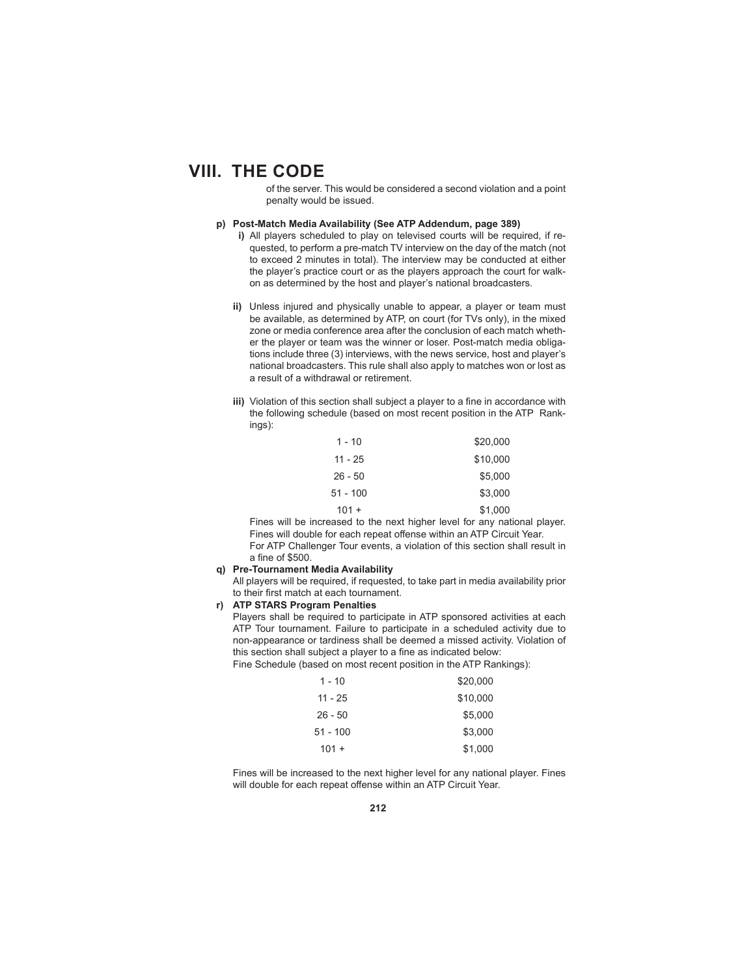of the server. This would be considered a second violation and a point penalty would be issued.

- **p) Post-Match Media Availability (See ATP Addendum, page 389)**
	- **i)** All players scheduled to play on televised courts will be required, if requested, to perform a pre-match TV interview on the day of the match (not to exceed 2 minutes in total). The interview may be conducted at either the player's practice court or as the players approach the court for walkon as determined by the host and player's national broadcasters.
	- **ii)** Unless injured and physically unable to appear, a player or team must be available, as determined by ATP, on court (for TVs only), in the mixed zone or media conference area after the conclusion of each match whether the player or team was the winner or loser. Post-match media obligations include three (3) interviews, with the news service, host and player's national broadcasters. This rule shall also apply to matches won or lost as a result of a withdrawal or retirement.
	- **iii)** Violation of this section shall subject a player to a fine in accordance with the following schedule (based on most recent position in the ATP Rankings):

| 1 - 10     | \$20,000 |
|------------|----------|
| $11 - 25$  | \$10,000 |
| $26 - 50$  | \$5,000  |
| $51 - 100$ | \$3,000  |
| $101 +$    | \$1,000  |

 Fines will be increased to the next higher level for any national player. Fines will double for each repeat offense within an ATP Circuit Year. For ATP Challenger Tour events, a violation of this section shall result in a fine of \$500.

### **q) Pre-Tournament Media Availability**

All players will be required, if requested, to take part in media availability prior to their first match at each tournament.

### **r) ATP STARS Program Penalties**

 Players shall be required to participate in ATP sponsored activities at each ATP Tour tournament. Failure to participate in a scheduled activity due to non-appearance or tardiness shall be deemed a missed activity. Violation of this section shall subject a player to a fine as indicated below: Fine Schedule (based on most recent position in the ATP Rankings):

| 1 - 10     | \$20,000 |
|------------|----------|
| 11 - 25    | \$10,000 |
| $26 - 50$  | \$5.000  |
| $51 - 100$ | \$3.000  |
| $101 +$    | \$1,000  |

 Fines will be increased to the next higher level for any national player. Fines will double for each repeat offense within an ATP Circuit Year.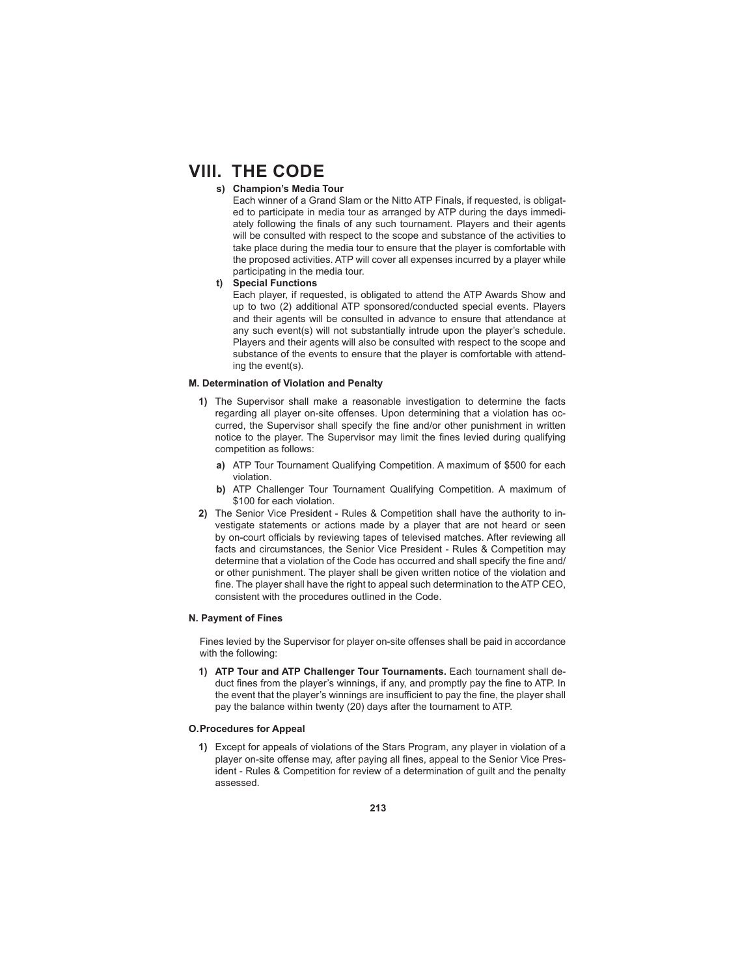## **s) Champion's Media Tour**

 Each winner of a Grand Slam or the Nitto ATP Finals, if requested, is obligated to participate in media tour as arranged by ATP during the days immediately following the finals of any such tournament. Players and their agents will be consulted with respect to the scope and substance of the activities to take place during the media tour to ensure that the player is comfortable with the proposed activities. ATP will cover all expenses incurred by a player while participating in the media tour.

## **t) Special Functions**

 Each player, if requested, is obligated to attend the ATP Awards Show and up to two (2) additional ATP sponsored/conducted special events. Players and their agents will be consulted in advance to ensure that attendance at any such event(s) will not substantially intrude upon the player's schedule. Players and their agents will also be consulted with respect to the scope and substance of the events to ensure that the player is comfortable with attending the event(s).

#### **M. Determination of Violation and Penalty**

- **1)** The Supervisor shall make a reasonable investigation to determine the facts regarding all player on-site offenses. Upon determining that a violation has occurred, the Supervisor shall specify the fine and/or other punishment in written notice to the player. The Supervisor may limit the fines levied during qualifying competition as follows:
	- **a)** ATP Tour Tournament Qualifying Competition. A maximum of \$500 for each violation.
	- **b)** ATP Challenger Tour Tournament Qualifying Competition. A maximum of \$100 for each violation.
- **2)** The Senior Vice President Rules & Competition shall have the authority to investigate statements or actions made by a player that are not heard or seen by on-court officials by reviewing tapes of televised matches. After reviewing all facts and circumstances, the Senior Vice President - Rules & Competition may determine that a violation of the Code has occurred and shall specify the fine and/ or other punishment. The player shall be given written notice of the violation and fine. The player shall have the right to appeal such determination to the ATP CEO, consistent with the procedures outlined in the Code.

### **N. Payment of Fines**

Fines levied by the Supervisor for player on-site offenses shall be paid in accordance with the following:

**1) ATP Tour and ATP Challenger Tour Tournaments.** Each tournament shall deduct fines from the player's winnings, if any, and promptly pay the fine to ATP. In the event that the player's winnings are insufficient to pay the fine, the player shall pay the balance within twenty (20) days after the tournament to ATP.

### **O. Procedures for Appeal**

**1)** Except for appeals of violations of the Stars Program, any player in violation of a player on-site offense may, after paying all fines, appeal to the Senior Vice President - Rules & Competition for review of a determination of guilt and the penalty assessed.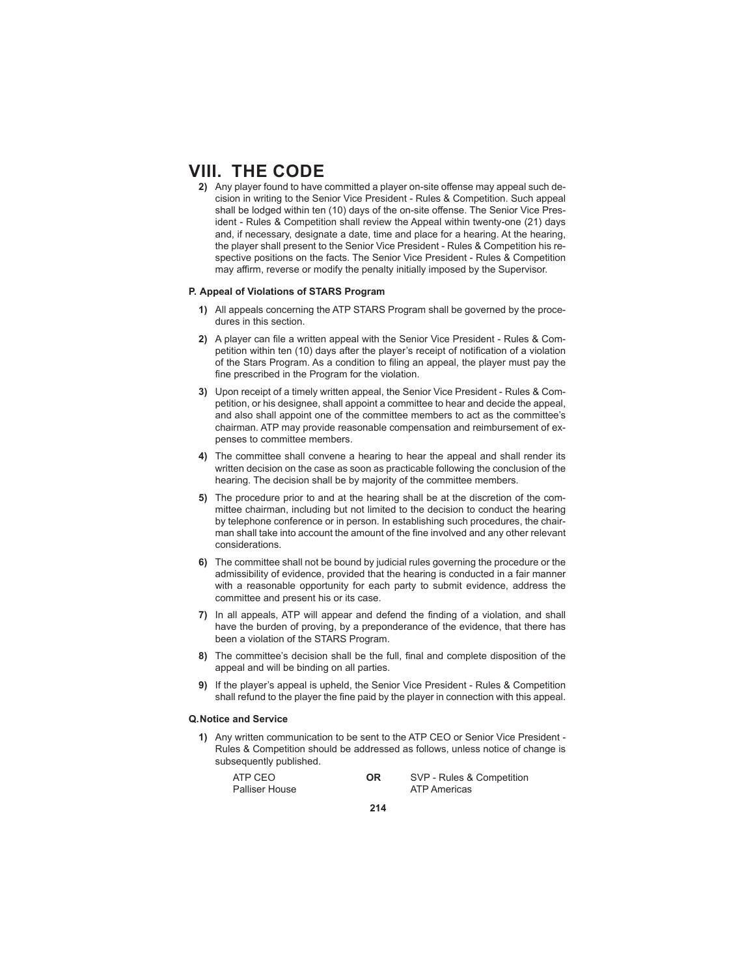2) Any player found to have committed a player on-site offense may appeal such decision in writing to the Senior Vice President - Rules & Competition. Such appeal shall be lodged within ten (10) days of the on-site offense. The Senior Vice President - Rules & Competition shall review the Appeal within twenty-one (21) days and, if necessary, designate a date, time and place for a hearing. At the hearing, the player shall present to the Senior Vice President - Rules & Competition his respective positions on the facts. The Senior Vice President - Rules & Competition may affirm, reverse or modify the penalty initially imposed by the Supervisor.

#### **P. Appeal of Violations of STARS Program**

- **1)** All appeals concerning the ATP STARS Program shall be governed by the procedures in this section.
- 2) A player can file a written appeal with the Senior Vice President Rules & Competition within ten (10) days after the player's receipt of notification of a violation of the Stars Program. As a condition to filing an appeal, the player must pay the fine prescribed in the Program for the violation.
- **3)** Upon receipt of a timely written appeal, the Senior Vice President Rules & Competition, or his designee, shall appoint a committee to hear and decide the appeal, and also shall appoint one of the committee members to act as the committee's chairman. ATP may provide reasonable compensation and reimbursement of expenses to committee members.
- **4)** The committee shall convene a hearing to hear the appeal and shall render its written decision on the case as soon as practicable following the conclusion of the hearing. The decision shall be by majority of the committee members.
- **5)** The procedure prior to and at the hearing shall be at the discretion of the committee chairman, including but not limited to the decision to conduct the hearing by telephone conference or in person. In establishing such procedures, the chairman shall take into account the amount of the fine involved and any other relevant considerations.
- **6)** The committee shall not be bound by judicial rules governing the procedure or the admissibility of evidence, provided that the hearing is conducted in a fair manner with a reasonable opportunity for each party to submit evidence, address the committee and present his or its case.
- **7)** In all appeals, ATP will appear and defend the finding of a violation, and shall have the burden of proving, by a preponderance of the evidence, that there has been a violation of the STARS Program.
- **8)** The committee's decision shall be the full, final and complete disposition of the appeal and will be binding on all parties.
- **9)** If the player's appeal is upheld, the Senior Vice President Rules & Competition shall refund to the player the fine paid by the player in connection with this appeal.

#### **Q. Notice and Service**

**1)** Any written communication to be sent to the ATP CEO or Senior Vice President - Rules & Competition should be addressed as follows, unless notice of change is subsequently published.

| ATP CEO        | OR | SVP - Rules & Competition |
|----------------|----|---------------------------|
| Palliser House |    | ATP Americas              |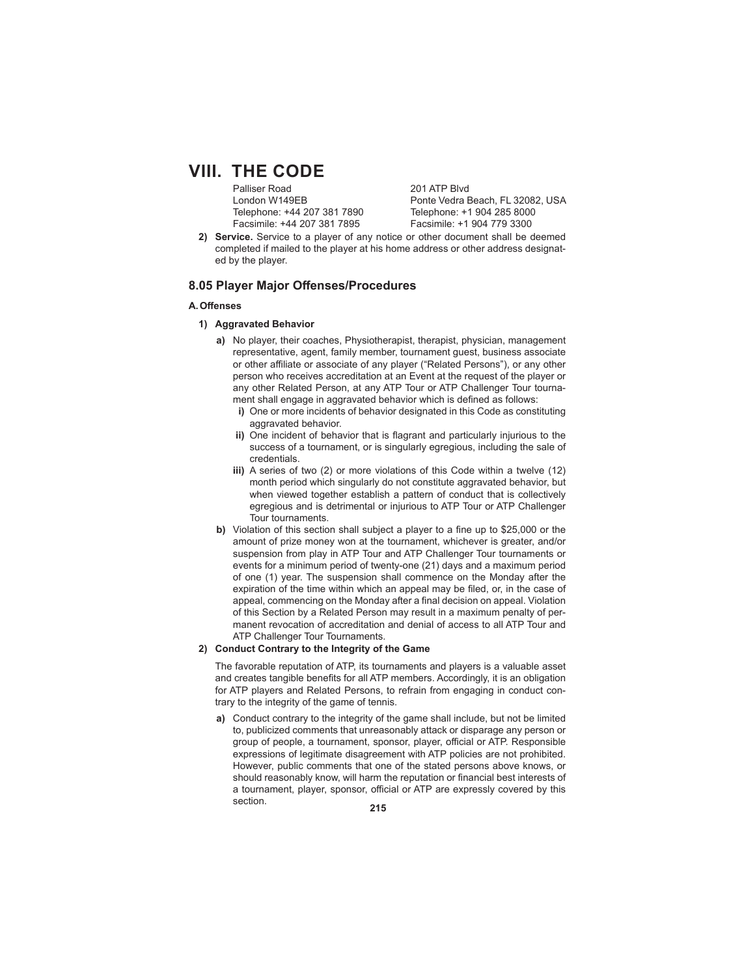Palliser Road 201 ATP Blvd Telephone: +44 207 381 7890 Telephone: +1 904 285 8000 Facsimile: +44 207 381 7895 Facsimile: +1 904 779 3300

London W149EB Ponte Vedra Beach, FL 32082, USA

**2) Service.** Service to a player of any notice or other document shall be deemed completed if mailed to the player at his home address or other address designated by the player.

## **8.05 Player Major Off enses/Procedures**

### **A. Off enses**

- **1) Aggravated Behavior**
	- **a)** No player, their coaches, Physiotherapist, therapist, physician, management representative, agent, family member, tournament guest, business associate or other affiliate or associate of any player ("Related Persons"), or any other person who receives accreditation at an Event at the request of the player or any other Related Person, at any ATP Tour or ATP Challenger Tour tournament shall engage in aggravated behavior which is defined as follows:
		- **i)** One or more incidents of behavior designated in this Code as constituting aggravated behavior.
		- **ii)** One incident of behavior that is flagrant and particularly injurious to the success of a tournament, or is singularly egregious, including the sale of credentials.
		- **iii)** A series of two (2) or more violations of this Code within a twelve (12) month period which singularly do not constitute aggravated behavior, but when viewed together establish a pattern of conduct that is collectively egregious and is detrimental or injurious to ATP Tour or ATP Challenger Tour tournaments.
	- **b)** Violation of this section shall subject a player to a fine up to \$25,000 or the amount of prize money won at the tournament, whichever is greater, and/or suspension from play in ATP Tour and ATP Challenger Tour tournaments or events for a minimum period of twenty-one (21) days and a maximum period of one (1) year. The suspension shall commence on the Monday after the expiration of the time within which an appeal may be filed, or, in the case of appeal, commencing on the Monday after a final decision on appeal. Violation of this Section by a Related Person may result in a maximum penalty of permanent revocation of accreditation and denial of access to all ATP Tour and ATP Challenger Tour Tournaments.

#### **2) Conduct Contrary to the Integrity of the Game**

 The favorable reputation of ATP, its tournaments and players is a valuable asset and creates tangible benefits for all ATP members. Accordingly, it is an obligation for ATP players and Related Persons, to refrain from engaging in conduct contrary to the integrity of the game of tennis.

**a)** Conduct contrary to the integrity of the game shall include, but not be limited to, publicized comments that unreasonably attack or disparage any person or group of people, a tournament, sponsor, player, official or ATP. Responsible expressions of legitimate disagreement with ATP policies are not prohibited. However, public comments that one of the stated persons above knows, or should reasonably know, will harm the reputation or financial best interests of a tournament, player, sponsor, official or ATP are expressly covered by this section.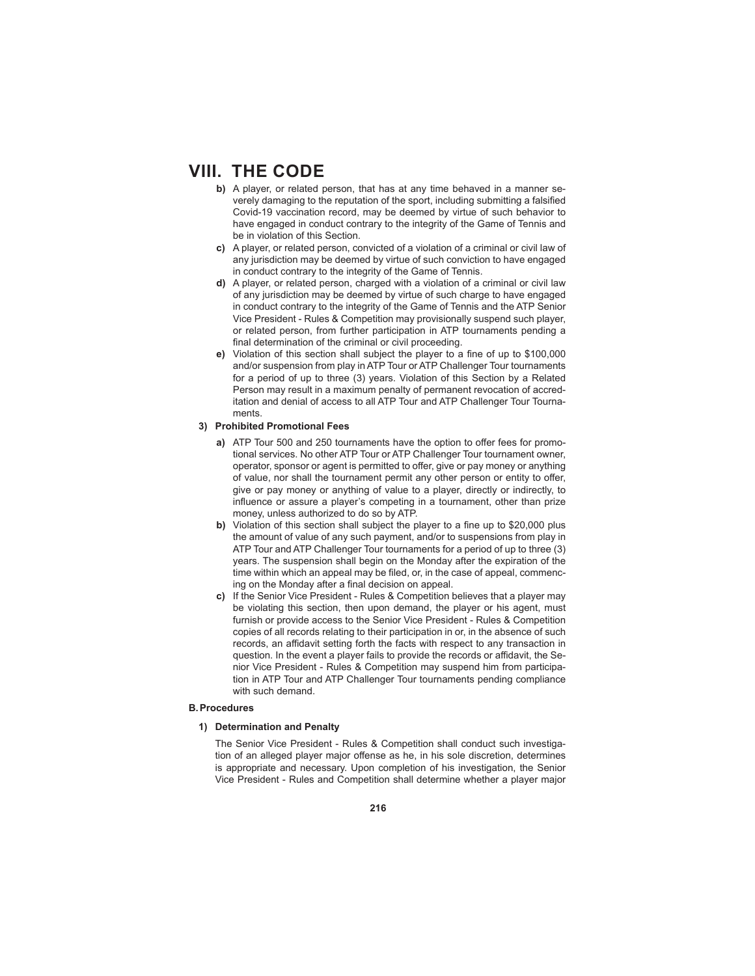- **b)** A player, or related person, that has at any time behaved in a manner severely damaging to the reputation of the sport, including submitting a falsified Covid-19 vaccination record, may be deemed by virtue of such behavior to have engaged in conduct contrary to the integrity of the Game of Tennis and be in violation of this Section.
- **c)** A player, or related person, convicted of a violation of a criminal or civil law of any jurisdiction may be deemed by virtue of such conviction to have engaged in conduct contrary to the integrity of the Game of Tennis.
- **d)** A player, or related person, charged with a violation of a criminal or civil law of any jurisdiction may be deemed by virtue of such charge to have engaged in conduct contrary to the integrity of the Game of Tennis and the ATP Senior Vice President - Rules & Competition may provisionally suspend such player, or related person, from further participation in ATP tournaments pending a final determination of the criminal or civil proceeding.
- **e)** Violation of this section shall subject the player to a fine of up to \$100,000 and/or suspension from play in ATP Tour or ATP Challenger Tour tournaments for a period of up to three (3) years. Violation of this Section by a Related Person may result in a maximum penalty of permanent revocation of accreditation and denial of access to all ATP Tour and ATP Challenger Tour Tournaments.

## **3) Prohibited Promotional Fees**

- **a)** ATP Tour 500 and 250 tournaments have the option to offer fees for promotional services. No other ATP Tour or ATP Challenger Tour tournament owner, operator, sponsor or agent is permitted to offer, give or pay money or anything of value, nor shall the tournament permit any other person or entity to offer, give or pay money or anything of value to a player, directly or indirectly, to influence or assure a player's competing in a tournament, other than prize money, unless authorized to do so by ATP.
- **b)** Violation of this section shall subject the player to a fine up to \$20,000 plus the amount of value of any such payment, and/or to suspensions from play in ATP Tour and ATP Challenger Tour tournaments for a period of up to three (3) years. The suspension shall begin on the Monday after the expiration of the time within which an appeal may be filed, or, in the case of appeal, commencing on the Monday after a final decision on appeal.
- **c)** If the Senior Vice President Rules & Competition believes that a player may be violating this section, then upon demand, the player or his agent, must furnish or provide access to the Senior Vice President - Rules & Competition copies of all records relating to their participation in or, in the absence of such records, an affidavit setting forth the facts with respect to any transaction in question. In the event a player fails to provide the records or affidavit, the Senior Vice President - Rules & Competition may suspend him from participation in ATP Tour and ATP Challenger Tour tournaments pending compliance with such demand.

### **B. Procedures**

### **1) Determination and Penalty**

 The Senior Vice President - Rules & Competition shall conduct such investigation of an alleged player major offense as he, in his sole discretion, determines is appropriate and necessary. Upon completion of his investigation, the Senior Vice President - Rules and Competition shall determine whether a player major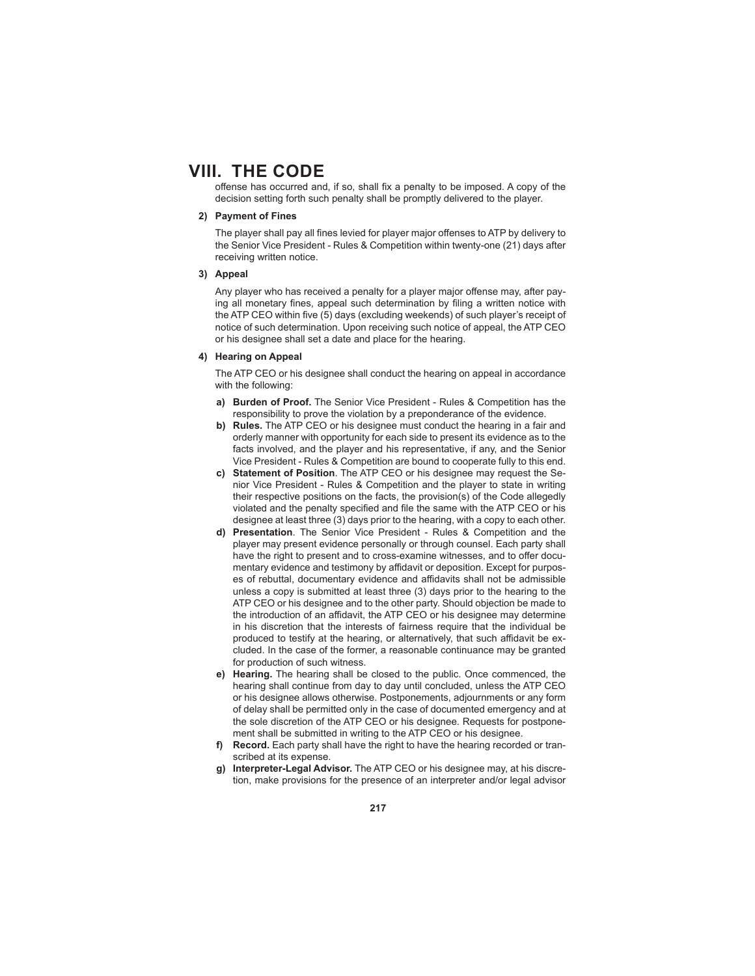offense has occurred and, if so, shall fix a penalty to be imposed. A copy of the decision setting forth such penalty shall be promptly delivered to the player.

## **2) Payment of Fines**

The player shall pay all fines levied for player major offenses to ATP by delivery to the Senior Vice President - Rules & Competition within twenty-one (21) days after receiving written notice.

#### **3) Appeal**

Any player who has received a penalty for a player major offense may, after paying all monetary fines, appeal such determination by filing a written notice with the ATP CEO within five (5) days (excluding weekends) of such player's receipt of notice of such determination. Upon receiving such notice of appeal, the ATP CEO or his designee shall set a date and place for the hearing.

### **4) Hearing on Appeal**

 The ATP CEO or his designee shall conduct the hearing on appeal in accordance with the following:

- **a) Burden of Proof.** The Senior Vice President Rules & Competition has the responsibility to prove the violation by a preponderance of the evidence.
- **b) Rules.** The ATP CEO or his designee must conduct the hearing in a fair and orderly manner with opportunity for each side to present its evidence as to the facts involved, and the player and his representative, if any, and the Senior Vice President - Rules & Competition are bound to cooperate fully to this end.
- **c) Statement of Position**. The ATP CEO or his designee may request the Senior Vice President - Rules & Competition and the player to state in writing their respective positions on the facts, the provision(s) of the Code allegedly violated and the penalty specified and file the same with the ATP CEO or his designee at least three (3) days prior to the hearing, with a copy to each other.
- **d) Presentation**. The Senior Vice President Rules & Competition and the player may present evidence personally or through counsel. Each party shall have the right to present and to cross-examine witnesses, and to offer documentary evidence and testimony by affidavit or deposition. Except for purposes of rebuttal, documentary evidence and affidavits shall not be admissible unless a copy is submitted at least three (3) days prior to the hearing to the ATP CEO or his designee and to the other party. Should objection be made to the introduction of an affidavit, the ATP CEO or his designee may determine in his discretion that the interests of fairness require that the individual be produced to testify at the hearing, or alternatively, that such affidavit be excluded. In the case of the former, a reasonable continuance may be granted for production of such witness.
- **e) Hearing.** The hearing shall be closed to the public. Once commenced, the hearing shall continue from day to day until concluded, unless the ATP CEO or his designee allows otherwise. Postponements, adjournments or any form of delay shall be permitted only in the case of documented emergency and at the sole discretion of the ATP CEO or his designee. Requests for postponement shall be submitted in writing to the ATP CEO or his designee.
- **Record.** Each party shall have the right to have the hearing recorded or transcribed at its expense.
- **g) Interpreter-Legal Advisor.** The ATP CEO or his designee may, at his discretion, make provisions for the presence of an interpreter and/or legal advisor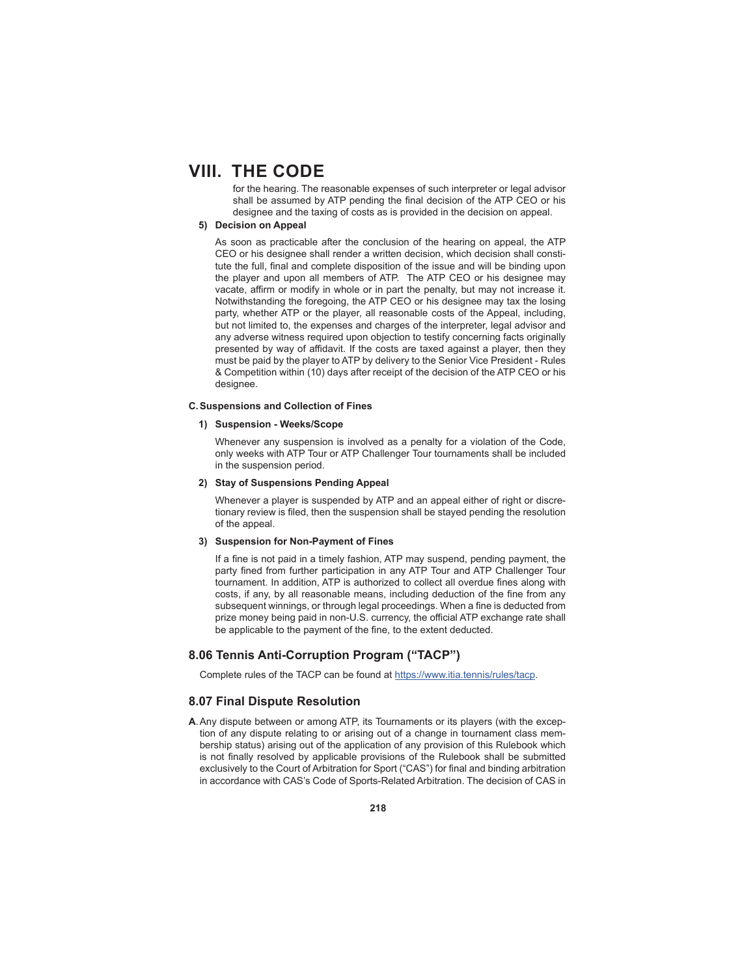for the hearing. The reasonable expenses of such interpreter or legal advisor shall be assumed by ATP pending the final decision of the ATP CEO or his designee and the taxing of costs as is provided in the decision on appeal.

### **5) Decision on Appeal**

 As soon as practicable after the conclusion of the hearing on appeal, the ATP CEO or his designee shall render a written decision, which decision shall constitute the full, final and complete disposition of the issue and will be binding upon the player and upon all members of ATP. The ATP CEO or his designee may vacate, affirm or modify in whole or in part the penalty, but may not increase it. Notwithstanding the foregoing, the ATP CEO or his designee may tax the losing party, whether ATP or the player, all reasonable costs of the Appeal, including, but not limited to, the expenses and charges of the interpreter, legal advisor and any adverse witness required upon objection to testify concerning facts originally presented by way of affidavit. If the costs are taxed against a player, then they must be paid by the player to ATP by delivery to the Senior Vice President - Rules & Competition within (10) days after receipt of the decision of the ATP CEO or his designee.

#### **C. Suspensions and Collection of Fines**

### **1) Suspension - Weeks/Scope**

 Whenever any suspension is involved as a penalty for a violation of the Code, only weeks with ATP Tour or ATP Challenger Tour tournaments shall be included in the suspension period.

#### **2) Stay of Suspensions Pending Appeal**

 Whenever a player is suspended by ATP and an appeal either of right or discretionary review is filed, then the suspension shall be stayed pending the resolution of the appeal.

#### **3) Suspension for Non-Payment of Fines**

If a fine is not paid in a timely fashion, ATP may suspend, pending payment, the party fined from further participation in any ATP Tour and ATP Challenger Tour tournament. In addition, ATP is authorized to collect all overdue fines along with costs, if any, by all reasonable means, including deduction of the fine from any subsequent winnings, or through legal proceedings. When a fine is deducted from prize money being paid in non-U.S. currency, the official ATP exchange rate shall be applicable to the payment of the fine, to the extent deducted.

## **8.06 Tennis Anti-Corruption Program ("TACP")**

Complete rules of the TACP can be found at https://www.itia.tennis/rules/tacp.

### **8.07 Final Dispute Resolution**

**A**. Any dispute between or among ATP, its Tournaments or its players (with the exception of any dispute relating to or arising out of a change in tournament class membership status) arising out of the application of any provision of this Rulebook which is not finally resolved by applicable provisions of the Rulebook shall be submitted exclusively to the Court of Arbitration for Sport ("CAS") for final and binding arbitration in accordance with CAS's Code of Sports-Related Arbitration. The decision of CAS in